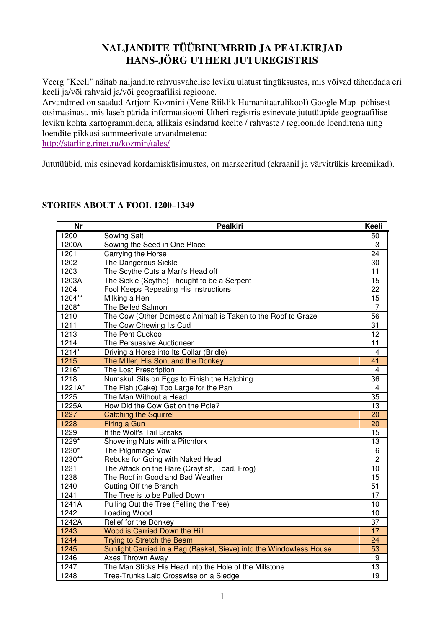# **NALJANDITE TÜÜBINUMBRID JA PEALKIRJAD HANS-JÖRG UTHERI JUTUREGISTRIS**

Veerg "Keeli" näitab naljandite rahvusvahelise leviku ulatust tingüksustes, mis võivad tähendada eri keeli ja/või rahvaid ja/või geograafilisi regioone.

Arvandmed on saadud Artjom Kozmini (Vene Riiklik Humanitaarülikool) Google Map -põhisest otsimasinast, mis laseb pärida informatsiooni Utheri registris esinevate jututüüpide geograafilise leviku kohta kartogrammidena, allikais esindatud keelte / rahvaste / regioonide loenditena ning loendite pikkusi summeerivate arvandmetena:

http://starling.rinet.ru/kozmin/tales/

Jututüübid, mis esinevad kordamisküsimustes, on markeeritud (ekraanil ja värvitrükis kreemikad).

| <b>Nr</b> | <b>Pealkiri</b>                                                     | Keeli                   |
|-----------|---------------------------------------------------------------------|-------------------------|
| 1200      | Sowing Salt                                                         | 50                      |
| 1200A     | Sowing the Seed in One Place                                        | 3                       |
| 1201      | Carrying the Horse                                                  | $\overline{24}$         |
| 1202      | The Dangerous Sickle                                                | 30                      |
| 1203      | The Scythe Cuts a Man's Head off                                    | 11                      |
| 1203A     | The Sickle (Scythe) Thought to be a Serpent                         | 15                      |
| 1204      | Fool Keeps Repeating His Instructions                               | 22                      |
| 1204**    | Milking a Hen                                                       | $\overline{15}$         |
| 1208*     | The Belled Salmon                                                   | $\overline{7}$          |
| 1210      | The Cow (Other Domestic Animal) is Taken to the Roof to Graze       | 56                      |
| 1211      | The Cow Chewing Its Cud                                             | 31                      |
| 1213      | The Pent Cuckoo                                                     | 12                      |
| 1214      | The Persuasive Auctioneer                                           | 11                      |
| $1214*$   | Driving a Horse into Its Collar (Bridle)                            | $\overline{4}$          |
| 1215      | The Miller, His Son, and the Donkey                                 | 41                      |
| 1216*     | The Lost Prescription                                               | $\overline{\mathbf{4}}$ |
| 1218      | Numskull Sits on Eggs to Finish the Hatching                        | 36                      |
| $1221A*$  | The Fish (Cake) Too Large for the Pan                               | $\overline{4}$          |
| 1225      | The Man Without a Head                                              | 35                      |
| 1225A     | How Did the Cow Get on the Pole?                                    | 13                      |
| 1227      | <b>Catching the Squirrel</b>                                        | 20                      |
| 1228      | Firing a Gun                                                        | 20                      |
| 1229      | If the Wolf's Tail Breaks                                           | 15                      |
| 1229*     | Shoveling Nuts with a Pitchfork                                     | 13                      |
| 1230*     | The Pilgrimage Vow                                                  | 6                       |
| 1230**    | Rebuke for Going with Naked Head                                    | $\overline{2}$          |
| 1231      | The Attack on the Hare (Crayfish, Toad, Frog)                       | 10                      |
| 1238      | The Roof in Good and Bad Weather                                    | 15                      |
| 1240      | Cutting Off the Branch                                              | 51                      |
| 1241      | The Tree is to be Pulled Down                                       | 17                      |
| 1241A     | Pulling Out the Tree (Felling the Tree)                             | 10                      |
| 1242      | Loading Wood                                                        | 10                      |
| 1242A     | Relief for the Donkey                                               | 37                      |
| 1243      | Wood is Carried Down the Hill                                       | 17                      |
| 1244      | Trying to Stretch the Beam                                          | 24                      |
| 1245      | Sunlight Carried in a Bag (Basket, Sieve) into the Windowless House | 53                      |
| 1246      | Axes Thrown Away                                                    | 9                       |
| 1247      | The Man Sticks His Head into the Hole of the Millstone              | 13                      |
| 1248      | Tree-Trunks Laid Crosswise on a Sledge                              | $\overline{19}$         |

#### **STORIES ABOUT A FOOL 1200–1349**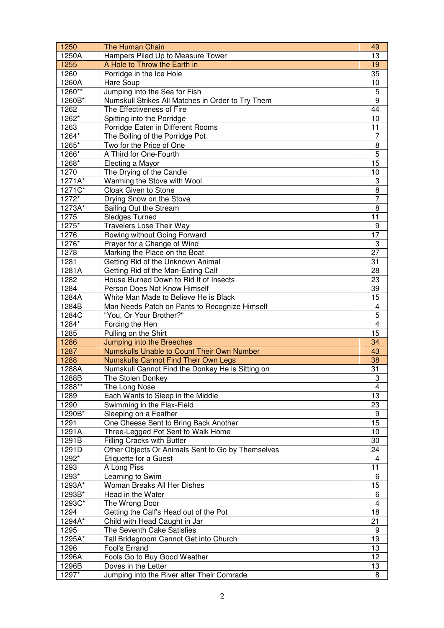| 1250      | The Human Chain                                   | 49                               |
|-----------|---------------------------------------------------|----------------------------------|
| 1250A     | Hampers Piled Up to Measure Tower                 | 13                               |
| 1255      | A Hole to Throw the Earth in                      | 19                               |
| 1260      | Porridge in the Ice Hole                          | 35                               |
| 1260A     | <b>Hare Soup</b>                                  | 10                               |
| 1260**    | Jumping into the Sea for Fish                     | 5                                |
| 1260B*    | Numskull Strikes All Matches in Order to Try Them | $\boldsymbol{9}$                 |
| 1262      | The Effectiveness of Fire                         | 44                               |
| 1262*     | Spitting into the Porridge                        | 10                               |
| 1263      | Porridge Eaten in Different Rooms                 | 11                               |
| 1264*     | The Boiling of the Porridge Pot                   | 7                                |
| 1265*     | Two for the Price of One                          | 8                                |
| 1266*     | A Third for One-Fourth                            | $\overline{5}$                   |
| 1268*     | Electing a Mayor                                  | 15                               |
| 1270      | The Drying of the Candle                          | 10                               |
| 1271A*    | Warming the Stove with Wool                       | $\ensuremath{\mathsf{3}}$        |
| $1271C^*$ | Cloak Given to Stone                              | $\overline{8}$                   |
| 1272*     | Drying Snow on the Stove                          | 7                                |
| 1273A*    | <b>Bailing Out the Stream</b>                     | 8                                |
| 1275      | <b>Sledges Turned</b>                             | 11                               |
| 1275*     | <b>Travelers Lose Their Way</b>                   | 9                                |
| 1276      | Rowing without Going Forward                      | 17                               |
| 1276*     | Prayer for a Change of Wind                       | 3                                |
| 1278      | Marking the Place on the Boat                     | 27                               |
| 1281      | Getting Rid of the Unknown Animal                 | 31                               |
| 1281A     | Getting Rid of the Man-Eating Calf                | 28                               |
| 1282      | House Burned Down to Rid It of Insects            | 23                               |
| 1284      | Person Does Not Know Himself                      |                                  |
|           |                                                   | 39                               |
| 1284A     | White Man Made to Believe He is Black             | 15                               |
| 1284B     | Man Needs Patch on Pants to Recognize Himself     | $\overline{\mathbf{4}}$          |
| 1284C     | "You, Or Your Brother?"                           | $\overline{5}$<br>$\overline{4}$ |
| 1284*     | Forcing the Hen                                   |                                  |
| 1285      | Pulling on the Shirt                              | 15                               |
| 1286      | Jumping into the Breeches                         | 34                               |
| 1287      | Numskulls Unable to Count Their Own Number        | 43                               |
| 1288      | <b>Numskulls Cannot Find Their Own Legs</b>       | 38                               |
| 1288A     | Numskull Cannot Find the Donkey He is Sitting on  | 31                               |
| 1288B     | The Stolen Donkey                                 | 3                                |
| 1288**    | The Long Nose                                     | $\overline{4}$                   |
| 1289      | Each Wants to Sleep in the Middle                 | 13                               |
| 1290      | Swimming in the Flax-Field                        | 23                               |
| 1290B*    | Sleeping on a Feather                             | 9                                |
| 1291      | One Cheese Sent to Bring Back Another             | $\overline{15}$                  |
| 1291A     | Three-Legged Pot Sent to Walk Home                | 10                               |
| 1291B     | <b>Filling Cracks with Butter</b>                 | 30                               |
| 1291D     | Other Objects Or Animals Sent to Go by Themselves | 24                               |
| 1292*     | <b>Etiquette for a Guest</b>                      | 4                                |
| 1293      | A Long Piss                                       | 11                               |
| 1293*     | Learning to Swim                                  | 6                                |
| 1293A*    | Woman Breaks All Her Dishes                       | 15                               |
| 1293B*    | Head in the Water                                 | 6                                |
| 1293C*    | The Wrong Door                                    | $\overline{\mathbf{4}}$          |
| 1294      | Getting the Calf's Head out of the Pot            | 18                               |
| 1294A*    | Child with Head Caught in Jar                     | 21                               |
| 1295      | The Seventh Cake Satisfies                        | 9                                |
| 1295A*    | Tall Bridegroom Cannot Get into Church            | 19                               |
| 1296      | Fool's Errand                                     | 13                               |
| 1296A     | Fools Go to Buy Good Weather                      | 12                               |
| 1296B     | Doves in the Letter                               | 13                               |
| 1297*     | Jumping into the River after Their Comrade        | 8                                |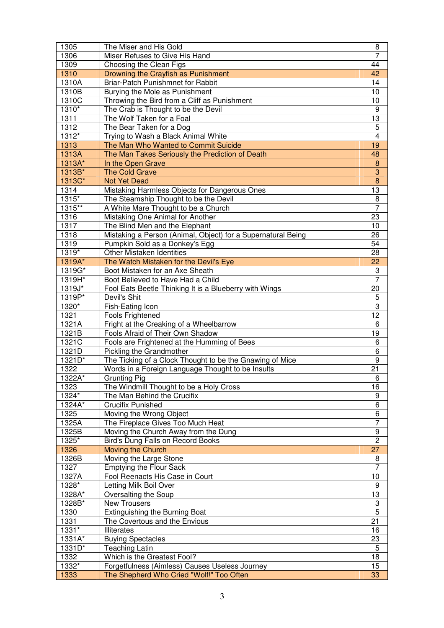| 1305    | The Miser and His Gold                                       | 8                   |
|---------|--------------------------------------------------------------|---------------------|
| 1306    | Miser Refuses to Give His Hand                               | $\overline{7}$      |
| 1309    | Choosing the Clean Figs                                      | 44                  |
| 1310    | Drowning the Crayfish as Punishment                          | 42                  |
| 1310A   | Briar-Patch Punishmnet for Rabbit                            | 14                  |
| 1310B   | Burying the Mole as Punishment                               | 10                  |
| 1310C   | Throwing the Bird from a Cliff as Punishment                 | 10                  |
| 1310*   | The Crab is Thought to be the Devil                          | $\boldsymbol{9}$    |
| 1311    | The Wolf Taken for a Foal                                    | $\overline{13}$     |
| 1312    | The Bear Taken for a Dog                                     | $\overline{5}$      |
| 1312*   | Trying to Wash a Black Animal White                          | $\overline{4}$      |
| 1313    | The Man Who Wanted to Commit Suicide                         | 19                  |
| 1313A   | The Man Takes Seriously the Prediction of Death              | 48                  |
| 1313A*  | In the Open Grave                                            | $\overline{8}$      |
| 1313B*  | <b>The Cold Grave</b>                                        | $\overline{3}$      |
|         | <b>Not Yet Dead</b>                                          | $\overline{8}$      |
| 1313C*  |                                                              |                     |
| 1314    | Mistaking Harmless Objects for Dangerous Ones                | 13                  |
| $1315*$ | The Steamship Thought to be the Devil                        | 8<br>$\overline{7}$ |
| 1315**  | A White Mare Thought to be a Church                          |                     |
| 1316    | Mistaking One Animal for Another                             | 23                  |
| 1317    | The Blind Men and the Elephant                               | 10                  |
| 1318    | Mistaking a Person (Animal, Object) for a Supernatural Being | 26                  |
| 1319    | Pumpkin Sold as a Donkey's Egg                               | $\overline{54}$     |
| $1319*$ | <b>Other Mistaken Identities</b>                             | 28                  |
| 1319A*  | The Watch Mistaken for the Devil's Eye                       | 22                  |
| 1319G*  | Boot Mistaken for an Axe Sheath                              | 3                   |
| 1319H*  | Boot Believed to Have Had a Child                            | $\overline{7}$      |
| 1319J*  | Fool Eats Beetle Thinking It is a Blueberry with Wings       | 20                  |
| 1319P*  | Devil's Shit                                                 | $\overline{5}$      |
| 1320*   | Fish-Eating Icon                                             | $\overline{3}$      |
| 1321    | Fools Frightened                                             | 12                  |
| 1321A   | Fright at the Creaking of a Wheelbarrow                      | 6                   |
| 1321B   | Fools Afraid of Their Own Shadow                             | 19                  |
| 1321C   | Fools are Frightened at the Humming of Bees                  | 6                   |
| 1321D   | Pickling the Grandmother                                     | $\overline{6}$      |
| 1321D*  | The Ticking of a Clock Thought to be the Gnawing of Mice     | $\overline{9}$      |
| 1322    | Words in a Foreign Language Thought to be Insults            | 21                  |
| 1322A*  | <b>Grunting Pig</b>                                          | 6                   |
| 1323    | The Windmill Thought to be a Holy Cross                      | 16                  |
| 1324*   | The Man Behind the Crucifix                                  | 9                   |
| 1324A*  | <b>Crucifix Punished</b>                                     | $\overline{6}$      |
| 1325    | Moving the Wrong Object                                      | $\overline{6}$      |
| 1325A   | The Fireplace Gives Too Much Heat                            | $\overline{7}$      |
| 1325B   | Moving the Church Away from the Dung                         | 9                   |
| 1325*   | Bird's Dung Falls on Record Books                            | $\overline{2}$      |
| 1326    | Moving the Church                                            | 27                  |
| 1326B   | Moving the Large Stone                                       | 8                   |
| 1327    | <b>Emptying the Flour Sack</b>                               | $\overline{7}$      |
| 1327A   | Fool Reenacts His Case in Court                              | 10                  |
| 1328*   | Letting Milk Boil Over                                       | 9                   |
|         |                                                              | $\overline{13}$     |
| 1328A*  | Oversalting the Soup                                         |                     |
| 1328B*  | <b>New Trousers</b>                                          | $\overline{3}$      |
| 1330    | Extinguishing the Burning Boat                               | $\overline{5}$      |
| 1331    | The Covertous and the Envious                                | 21                  |
| 1331*   | <b>Illiterates</b>                                           | 16                  |
| 1331A*  | <b>Buying Spectacles</b>                                     | 23                  |
| 1331D*  | <b>Teaching Latin</b>                                        | $\sqrt{5}$          |
| 1332    | Which is the Greatest Fool?                                  | 18                  |
| 1332*   | Forgetfulness (Aimless) Causes Useless Journey               | 15                  |
| 1333    | The Shepherd Who Cried "Wolf!" Too Often                     | 33                  |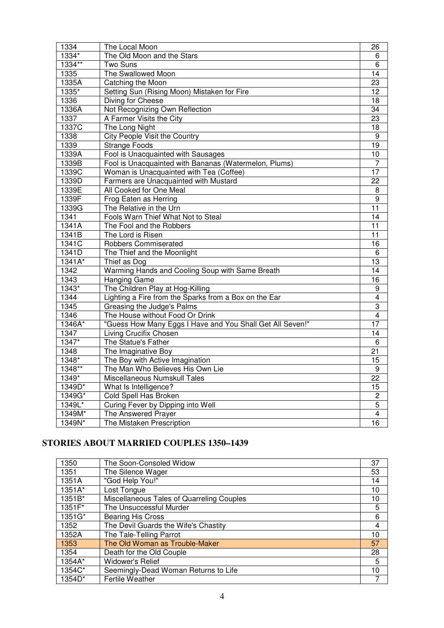| 1334     | The Local Moon                                            | 26               |
|----------|-----------------------------------------------------------|------------------|
| 1334*    | The Old Moon and the Stars                                | 6                |
| 1334**   | Two Suns                                                  | 6                |
| 1335     | The Swallowed Moon                                        | 14               |
| 1335A    | Catching the Moon                                         | 23               |
| 1335*    | Setting Sun (Rising Moon) Mistaken for Fire               | 12               |
| 1336     | Diving for Cheese                                         | 18               |
| 1336A    | Not Recognizing Own Reflection                            | $\overline{34}$  |
| 1337     | A Farmer Visits the City                                  | 23               |
| 1337C    | The Long Night                                            | $\overline{18}$  |
| 1338     | City People Visit the Country                             | 9                |
| 1339     | <b>Strange Foods</b>                                      | $\overline{19}$  |
| 1339A    | Fool is Unacquainted with Sausages                        | $\overline{10}$  |
| 1339B    | Fool is Unacquainted with Bananas (Watermelon, Plums)     | $\overline{7}$   |
| 1339C    | Woman is Unacquainted with Tea (Coffee)                   | 17               |
| 1339D    | Farmers are Unacquainted with Mustard                     | $\overline{22}$  |
| 1339E    | All Cooked for One Meal                                   | $\overline{8}$   |
| 1339F    | Frog Eaten as Herring                                     | $\boldsymbol{9}$ |
| 1339G    | The Relative in the Urn                                   | 11               |
| 1341     | Fools Warn Thief What Not to Steal                        | $\overline{14}$  |
| 1341A    | The Fool and the Robbers                                  | $\overline{11}$  |
| 1341B    | The Lord is Risen                                         | 11               |
| 1341C    | <b>Robbers Commiserated</b>                               | $\overline{16}$  |
| 1341D    | The Thief and the Moonlight                               | 6                |
| $1341A*$ | Thief as Dog                                              | 13               |
| 1342     | Warming Hands and Cooling Soup with Same Breath           | 14               |
| 1343     | <b>Hanging Game</b>                                       | 16               |
| 1343*    | The Children Play at Hog-Killing                          | 9                |
| 1344     | Lighting a Fire from the Sparks from a Box on the Ear     | $\overline{4}$   |
| 1345     | Greasing the Judge's Palms                                | 3                |
| 1346     | The House without Food Or Drink                           | 4                |
| 1346A*   | "Guess How Many Eggs I Have and You Shall Get All Seven!" | 17               |
| 1347     | Living Crucifix Chosen                                    | 14               |
| 1347*    | The Statue's Father                                       | 6                |
| 1348     | The Imaginative Boy                                       | $\overline{21}$  |
| $1348*$  | The Boy with Active Imagination                           | $\overline{15}$  |
| 1348**   | The Man Who Believes His Own Lie                          | 9                |
| 1349*    | Miscellaneous Numskull Tales                              | $\overline{22}$  |
| 1349D*   | What Is Intelligence?                                     | $\overline{15}$  |
| 1349G*   | <b>Cold Spell Has Broken</b>                              | $\overline{c}$   |
| $1349L*$ | Curing Fever by Dipping into Well                         | $\overline{5}$   |
| 1349M*   | The Answered Prayer                                       | 4                |
| 1349N*   | The Mistaken Prescription                                 | 16               |

## **STORIES ABOUT MARRIED COUPLES 1350–1439**

| 1350   | The Soon-Consoled Widow                   | 37 |
|--------|-------------------------------------------|----|
| 1351   | The Silence Wager                         | 53 |
| 1351A  | "God Help You!"                           | 14 |
| 1351A* | Lost Tongue                               | 10 |
| 1351B* | Miscellaneous Tales of Quarreling Couples | 10 |
| 1351F* | The Unsuccessful Murder                   | 5  |
| 1351G* | Bearing His Cross                         | 6  |
| 1352   | The Devil Guards the Wife's Chastity      | 4  |
| 1352A  | The Tale-Telling Parrot                   | 10 |
| 1353   | The Old Woman as Trouble-Maker            | 57 |
| 1354   | Death for the Old Couple                  | 28 |
| 1354A* | <b>Widower's Relief</b>                   | 5  |
| 1354C* | Seemingly-Dead Woman Returns to Life      | 10 |
| 1354D* | <b>Fertile Weather</b>                    |    |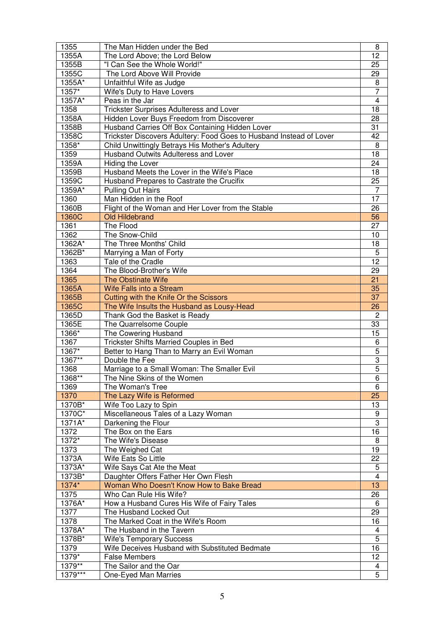| 1355          | The Man Hidden under the Bed                                           | 8                       |
|---------------|------------------------------------------------------------------------|-------------------------|
| 1355A         | The Lord Above; the Lord Below                                         | 12                      |
| 1355B         | "I Can See the Whole World!"                                           | 25                      |
| 1355C         | The Lord Above Will Provide                                            | 29                      |
| 1355A*        | Unfaithful Wife as Judge                                               | 8                       |
| 1357*         | Wife's Duty to Have Lovers                                             | $\overline{7}$          |
| 1357A*        | Peas in the Jar                                                        | $\overline{4}$          |
| 1358          | Trickster Surprises Adulteress and Lover                               | 18                      |
| 1358A         | Hidden Lover Buys Freedom from Discoverer                              | 28                      |
| 1358B         | Husband Carries Off Box Containing Hidden Lover                        | 31                      |
| 1358C         | Trickster Discovers Adultery: Food Goes to Husband Instead of Lover    | 42                      |
| 1358*         | Child Unwittingly Betrays His Mother's Adultery                        | 8                       |
| 1359          | Husband Outwits Adulteress and Lover                                   | 18                      |
| 1359A         | Hiding the Lover                                                       | 24                      |
| 1359B         | Husband Meets the Lover in the Wife's Place                            | 18                      |
| 1359C         | Husband Prepares to Castrate the Crucifix                              | 25                      |
| 1359A*        | <b>Pulling Out Hairs</b>                                               | $\overline{7}$          |
| 1360          | Man Hidden in the Roof                                                 | 17                      |
| 1360B         |                                                                        | 26                      |
|               | Flight of the Woman and Her Lover from the Stable                      |                         |
| 1360C         | <b>Old Hildebrand</b>                                                  | 56                      |
| 1361          | The Flood                                                              | 27                      |
| 1362          | The Snow-Child                                                         | 10                      |
| 1362A*        | The Three Months' Child                                                | 18                      |
| 1362B*        | Marrying a Man of Forty                                                | 5                       |
| 1363          | Tale of the Cradle                                                     | 12                      |
| 1364          | The Blood-Brother's Wife                                               | 29                      |
| 1365          | <b>The Obstinate Wife</b>                                              | 21                      |
| 1365A         | Wife Falls into a Stream                                               | 35                      |
| 1365B         | Cutting with the Knife Or the Scissors                                 | 37                      |
| 1365C         | The Wife Insults the Husband as Lousy-Head                             | 26                      |
| 1365D         | Thank God the Basket is Ready                                          | $\overline{2}$          |
| 1365E         | The Quarrelsome Couple                                                 | 33                      |
| $1366*$       | The Cowering Husband                                                   | 15                      |
| 1367          | <b>Trickster Shifts Married Couples in Bed</b>                         | $\,6$                   |
| 1367*         | Better to Hang Than to Marry an Evil Woman                             | $\overline{5}$          |
| 1367**        | Double the Fee                                                         | $\overline{3}$          |
| 1368          | Marriage to a Small Woman: The Smaller Evil                            | $\overline{5}$          |
| $1368**$      | The Nine Skins of the Women                                            | $6\overline{6}$         |
| 1369          | The Woman's Tree                                                       | 6                       |
| 1370          | The Lazy Wife is Reformed                                              | 25                      |
| 1370B*        | Wife Too Lazy to Spin                                                  | 13                      |
| 1370C*        | Miscellaneous Tales of a Lazy Woman                                    | 9                       |
| 1371A*        | Darkening the Flour                                                    | $\overline{3}$          |
| 1372          | The Box on the Ears                                                    | $\overline{16}$         |
| 1372*         | The Wife's Disease                                                     | 8                       |
| 1373          | The Weighed Cat                                                        | 19                      |
| 1373A         | Wife Eats So Little                                                    | 22                      |
| 1373A*        | Wife Says Cat Ate the Meat                                             | 5                       |
| 1373B*        | Daughter Offers Father Her Own Flesh                                   | $\overline{4}$          |
| 1374*         | Woman Who Doesn't Know How to Bake Bread                               | 13                      |
| 1375          | Who Can Rule His Wife?                                                 | 26                      |
| 1376A*        | How a Husband Cures His Wife of Fairy Tales                            | 6                       |
| 1377          | The Husband Locked Out                                                 | 29                      |
| 1378          | The Marked Coat in the Wife's Room                                     | 16                      |
| 1378A*        | The Husband in the Tavern                                              | $\overline{\mathbf{4}}$ |
| 1378B*        |                                                                        | $\overline{5}$          |
|               | <b>Wife's Temporary Success</b>                                        | 16                      |
| 1379<br>1379* | Wife Deceives Husband with Substituted Bedmate<br><b>False Members</b> | 12                      |
| 1379**        |                                                                        |                         |
| 1379***       | The Sailor and the Oar                                                 | 4                       |
|               | One-Eyed Man Marries                                                   | 5                       |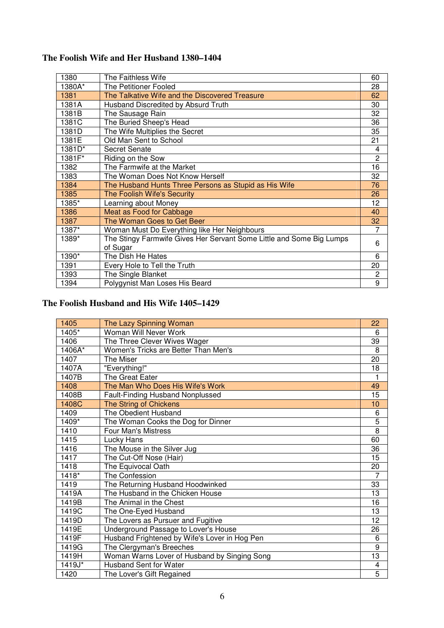| 1380   | The Faithless Wife                                                               | 60             |
|--------|----------------------------------------------------------------------------------|----------------|
| 1380A* | The Petitioner Fooled                                                            | 28             |
| 1381   | The Talkative Wife and the Discovered Treasure                                   | 62             |
| 1381A  | Husband Discredited by Absurd Truth                                              | 30             |
| 1381B  | The Sausage Rain                                                                 | 32             |
| 1381C  | The Buried Sheep's Head                                                          | 36             |
| 1381D  | The Wife Multiplies the Secret                                                   | 35             |
| 1381E  | Old Man Sent to School                                                           | 21             |
| 1381D* | Secret Senate                                                                    | 4              |
| 1381F* | Riding on the Sow                                                                | $\overline{2}$ |
| 1382   | The Farmwife at the Market                                                       | 16             |
| 1383   | The Woman Does Not Know Herself                                                  | 32             |
| 1384   | The Husband Hunts Three Persons as Stupid as His Wife                            | 76             |
| 1385   | The Foolish Wife's Security                                                      | 26             |
| 1385*  | Learning about Money                                                             | 12             |
| 1386   | Meat as Food for Cabbage                                                         | 40             |
| 1387   | The Woman Goes to Get Beer                                                       | 32             |
| 1387*  | Woman Must Do Everything like Her Neighbours                                     | 7              |
| 1389*  | The Stingy Farmwife Gives Her Servant Some Little and Some Big Lumps<br>of Sugar | 6              |
| 1390*  | The Dish He Hates                                                                | 6              |
| 1391   | Every Hole to Tell the Truth                                                     | 20             |
| 1393   | The Single Blanket                                                               | 2              |
| 1394   | Polygynist Man Loses His Beard                                                   | 9              |

## **The Foolish Wife and Her Husband 1380–1404**

## **The Foolish Husband and His Wife 1405–1429**

| 1405    | The Lazy Spinning Woman                       | 22              |
|---------|-----------------------------------------------|-----------------|
| 1405*   | Woman Will Never Work                         | 6               |
| 1406    | The Three Clever Wives Wager                  | 39              |
| 1406A*  | Women's Tricks are Better Than Men's          | 8               |
| 1407    | The Miser                                     | 20              |
| 1407A   | "Everything!"                                 | 18              |
| 1407B   | The Great Eater                               | 1               |
| 1408    | The Man Who Does His Wife's Work              | 49              |
| 1408B   | <b>Fault-Finding Husband Nonplussed</b>       | 15              |
| 1408C   | The String of Chickens                        | 10              |
| 1409    | The Obedient Husband                          | 6               |
| $1409*$ | The Woman Cooks the Dog for Dinner            | $\overline{5}$  |
| 1410    | <b>Four Man's Mistress</b>                    | $\overline{8}$  |
| 1415    | Lucky Hans                                    | 60              |
| 1416    | The Mouse in the Silver Jug                   | 36              |
| 1417    | The Cut-Off Nose (Hair)                       | 15              |
| 1418    | The Equivocal Oath                            | 20              |
| $1418*$ | The Confession                                | $\overline{7}$  |
| 1419    | The Returning Husband Hoodwinked              | 33              |
| 1419A   | The Husband in the Chicken House              | 13              |
| 1419B   | The Animal in the Chest                       | 16              |
| 1419C   | The One-Eyed Husband                          | $\overline{13}$ |
| 1419D   | The Lovers as Pursuer and Fugitive            | $\overline{12}$ |
| 1419E   | Underground Passage to Lover's House          | 26              |
| 1419F   | Husband Frightened by Wife's Lover in Hog Pen | 6               |
| 1419G   | The Clergyman's Breeches                      | $\overline{9}$  |
| 1419H   | Woman Warns Lover of Husband by Singing Song  | $\overline{13}$ |
| 1419J*  | <b>Husband Sent for Water</b>                 | 4               |
| 1420    | The Lover's Gift Regained                     | $\overline{5}$  |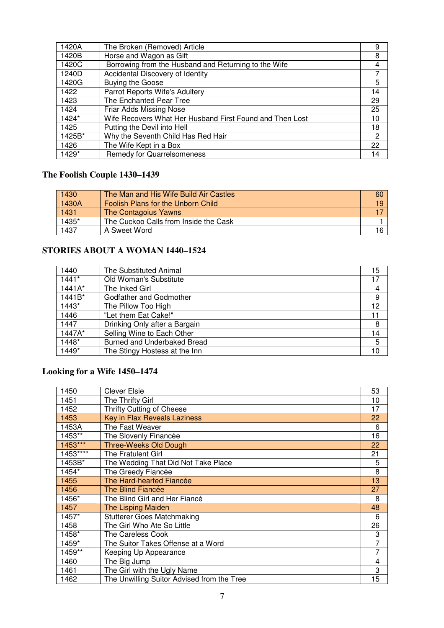| 1420A  | The Broken (Removed) Article                             | 9  |
|--------|----------------------------------------------------------|----|
| 1420B  | Horse and Wagon as Gift                                  | 8  |
| 1420C  | Borrowing from the Husband and Returning to the Wife     | 4  |
| 1240D  | Accidental Discovery of Identity                         |    |
| 1420G  | <b>Buying the Goose</b>                                  | 5  |
| 1422   | Parrot Reports Wife's Adultery                           | 14 |
| 1423   | The Enchanted Pear Tree                                  | 29 |
| 1424   | Friar Adds Missing Nose                                  | 25 |
| 1424*  | Wife Recovers What Her Husband First Found and Then Lost | 10 |
| 1425   | Putting the Devil into Hell                              | 18 |
| 1425B* | Why the Seventh Child Has Red Hair                       | 2  |
| 1426   | The Wife Kept in a Box                                   | 22 |
| 1429*  | <b>Remedy for Quarrelsomeness</b>                        | 14 |

## **The Foolish Couple 1430–1439**

| 1430  | The Man and His Wife Build Air Castles | 60 |
|-------|----------------------------------------|----|
| 1430A | Foolish Plans for the Unborn Child     | 19 |
| 1431  | The Contagoius Yawns                   |    |
| 1435* | The Cuckoo Calls from Inside the Cask  |    |
| 1437  | A Sweet Word                           |    |

## **STORIES ABOUT A WOMAN 1440–1524**

| 1440     | The Substituted Animal        | 15 |
|----------|-------------------------------|----|
| $1441*$  | Old Woman's Substitute        | 17 |
| $1441A*$ | The Inked Girl                | 4  |
| 1441B*   | Godfather and Godmother       | 9  |
| 1443*    | The Pillow Too High           | 12 |
| 1446     | "Let them Eat Cake!"          | 11 |
| 1447     | Drinking Only after a Bargain | 8  |
| 1447A*   | Selling Wine to Each Other    | 14 |
| 1448*    | Burned and Underbaked Bread   | 5  |
| 1449*    | The Stingy Hostess at the Inn | 10 |

## **Looking for a Wife 1450–1474**

| 1450      | <b>Clever Elsie</b>                        | 53             |
|-----------|--------------------------------------------|----------------|
| 1451      | The Thrifty Girl                           | 10             |
| 1452      | <b>Thrifty Cutting of Cheese</b>           | 17             |
| 1453      | <b>Key in Flax Reveals Laziness</b>        | 22             |
| 1453A     | The Fast Weaver                            | 6              |
| 1453**    | The Slovenly Financée                      | 16             |
| 1453***   | <b>Three-Weeks Old Dough</b>               | 22             |
| $1453***$ | The Fratulent Girl                         | 21             |
| 1453B*    | The Wedding That Did Not Take Place        | 5              |
| 1454*     | The Greedy Fiancée                         | 8              |
| 1455      | The Hard-hearted Fiancée                   | 13             |
| 1456      | The Blind Fiancée                          | 27             |
| 1456*     | The Blind Girl and Her Fiancé              | 8              |
| 1457      | <b>The Lisping Maiden</b>                  | 48             |
| 1457*     | <b>Stutterer Goes Matchmaking</b>          | 6              |
| 1458      | The Girl Who Ate So Little                 | 26             |
| 1458*     | The Careless Cook                          | 3              |
| 1459*     | The Suitor Takes Offense at a Word         | $\overline{7}$ |
| 1459**    | Keeping Up Appearance                      | 7              |
| 1460      | The Big Jump                               | 4              |
| 1461      | The Girl with the Ugly Name                | 3              |
| 1462      | The Unwilling Suitor Advised from the Tree | 15             |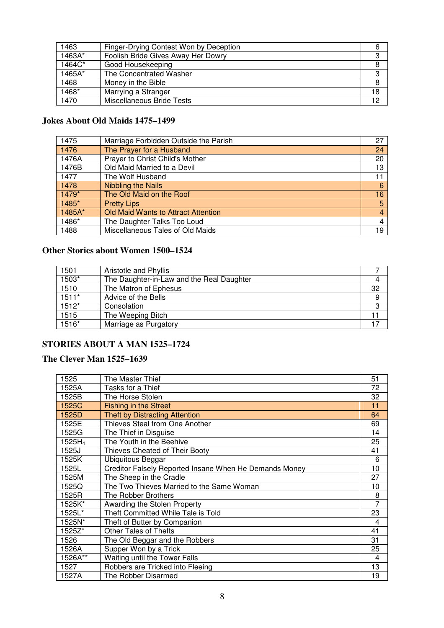| 1463     | Finger-Drying Contest Won by Deception | 6  |
|----------|----------------------------------------|----|
| $1463A*$ | Foolish Bride Gives Away Her Dowry     | 3  |
| 1464C*   | Good Housekeeping                      |    |
| 1465A*   | The Concentrated Washer                | 3  |
| 1468     | Money in the Bible                     | 8  |
| 1468*    | Marrying a Stranger                    | 18 |
| 1470     | Miscellaneous Bride Tests              | 12 |

## **Jokes About Old Maids 1475–1499**

| 1475   | Marriage Forbidden Outside the Parish | 27 |
|--------|---------------------------------------|----|
| 1476   | The Prayer for a Husband              | 24 |
| 1476A  | Prayer to Christ Child's Mother       | 20 |
| 1476B  | Old Maid Married to a Devil           | 13 |
| 1477   | The Wolf Husband                      | 11 |
| 1478   | <b>Nibbling the Nails</b>             | 6  |
| 1479*  | The Old Maid on the Roof              | 16 |
| 1485*  | <b>Pretty Lips</b>                    | 5  |
| 1485A* | Old Maid Wants to Attract Attention   | 4  |
| 1486*  | The Daughter Talks Too Loud           | 4  |
| 1488   | Miscellaneous Tales of Old Maids      | 19 |

### **Other Stories about Women 1500–1524**

| 1501    | Aristotle and Phyllis                     |    |
|---------|-------------------------------------------|----|
| $1503*$ | The Daughter-in-Law and the Real Daughter |    |
| 1510    | The Matron of Ephesus                     | 32 |
| $1511*$ | Advice of the Bells                       | 9  |
| $1512*$ | Consolation                               |    |
| 1515    | The Weeping Bitch                         |    |
| $1516*$ | Marriage as Purgatory                     |    |

#### **STORIES ABOUT A MAN 1525–1724**

## **The Clever Man 1525–1639**

| 1525      | The Master Thief                                       | 51             |
|-----------|--------------------------------------------------------|----------------|
| 1525A     | Tasks for a Thief                                      | 72             |
| 1525B     | The Horse Stolen                                       | 32             |
| 1525C     | <b>Fishing in the Street</b>                           | 11             |
| 1525D     | <b>Theft by Distracting Attention</b>                  | 64             |
| 1525E     | Thieves Steal from One Another                         | 69             |
| 1525G     | The Thief in Disguise                                  | 14             |
| $1525H_4$ | The Youth in the Beehive                               | 25             |
| 1525J     | Thieves Cheated of Their Booty                         | 41             |
| 1525K     | Ubiquitous Beggar                                      | 6              |
| 1525L     | Creditor Falsely Reported Insane When He Demands Money | 10             |
| 1525M     | The Sheep in the Cradle                                | 27             |
| 1525Q     | The Two Thieves Married to the Same Woman              | 10             |
| 1525R     | The Robber Brothers                                    | 8              |
| 1525K*    | Awarding the Stolen Property                           | $\overline{7}$ |
| 1525L*    | Theft Committed While Tale is Told                     | 23             |
| 1525N*    | Theft of Butter by Companion                           | 4              |
| 1525Z*    | <b>Other Tales of Thefts</b>                           | 41             |
| 1526      | The Old Beggar and the Robbers                         | 31             |
| 1526A     | Supper Won by a Trick                                  | 25             |
| 1526A**   | <b>Waiting until the Tower Falls</b>                   | 4              |
| 1527      | Robbers are Tricked into Fleeing                       | 13             |
| 1527A     | The Robber Disarmed                                    | 19             |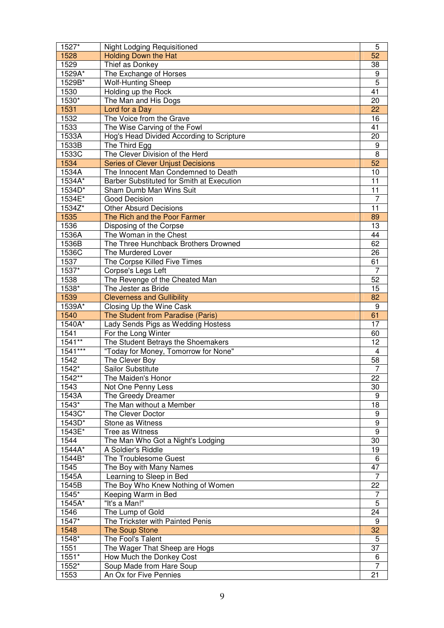| 1527*          | <b>Night Lodging Requisitioned</b>                 | 5                    |
|----------------|----------------------------------------------------|----------------------|
| 1528           | <b>Holding Down the Hat</b>                        | 52                   |
| 1529           | Thief as Donkey                                    | 38                   |
| 1529A*         | The Exchange of Horses                             | 9                    |
| 1529B*         | <b>Wolf-Hunting Sheep</b>                          | $\overline{5}$       |
| 1530           | Holding up the Rock                                | 41                   |
| 1530*          | The Man and His Dogs                               | 20                   |
| 1531           | Lord for a Day                                     | 22                   |
| 1532           | The Voice from the Grave                           | 16                   |
| 1533           | The Wise Carving of the Fowl                       | 41                   |
| 1533A          | Hog's Head Divided According to Scripture          | 20                   |
| 1533B          | The Third Egg                                      | 9                    |
| 1533C          | The Clever Division of the Herd                    | 8                    |
| 1534           | <b>Series of Clever Unjust Decisions</b>           | 52                   |
| 1534A          | The Innocent Man Condemned to Death                | 10                   |
| 1534A*         | Barber Substituted for Smith at Execution          | 11                   |
| 1534D*         | Sham Dumb Man Wins Suit                            | 11                   |
| 1534E*         | Good Decision                                      | 7                    |
| 1534Z*         | <b>Other Absurd Decisions</b>                      | 11                   |
| 1535           | The Rich and the Poor Farmer                       | 89                   |
| 1536           | Disposing of the Corpse                            | 13                   |
| 1536A          | The Woman in the Chest                             | 44                   |
| 1536B          | The Three Hunchback Brothers Drowned               | 62                   |
| 1536C          | The Murdered Lover                                 | 26                   |
| 1537           | The Corpse Killed Five Times                       | 61                   |
| 1537*          | Corpse's Legs Left                                 | 7                    |
| 1538           | The Revenge of the Cheated Man                     | 52                   |
| 1538*          | The Jester as Bride                                | 15                   |
|                |                                                    | 82                   |
| 1539<br>1539A* | <b>Cleverness and Gullibility</b>                  | 9                    |
|                | Closing Up the Wine Cask                           |                      |
| 1540           | The Student from Paradise (Paris)                  | 61<br>17             |
| 1540A*         | Lady Sends Pigs as Wedding Hostess                 |                      |
|                |                                                    |                      |
| 1541           | For the Long Winter                                | 60                   |
| $1541***$      | The Student Betrays the Shoemakers                 | 12                   |
| $1541***$      | "Today for Money, Tomorrow for None"               | $\overline{4}$       |
| 1542           | The Clever Boy                                     | 58                   |
| 1542*          | Sailor Substitute                                  | 7                    |
| 1542**         | The Maiden's Honor                                 | $\overline{22}$      |
| 1543           | Not One Penny Less                                 | 30                   |
| 1543A          | The Greedy Dreamer                                 | 9                    |
| 1543*          | The Man without a Member                           | 18                   |
| 1543C*         | The Clever Doctor                                  | 9                    |
| $1543D$ *      | Stone as Witness                                   | $\overline{9}$       |
| 1543E*         | Tree as Witness                                    | $\overline{9}$       |
| 1544           | The Man Who Got a Night's Lodging                  | 30                   |
| 1544A*         | A Soldier's Riddle                                 | 19                   |
| 1544B*         | The Troublesome Guest                              | 6                    |
| 1545           | The Boy with Many Names                            | 47                   |
| 1545A          | Learning to Sleep in Bed                           | $\overline{7}$       |
| 1545B          | The Boy Who Knew Nothing of Women                  | 22                   |
| 1545*          | Keeping Warm in Bed                                | 7                    |
| 1545A*         | "It's a Man!"                                      | 5                    |
| 1546           | The Lump of Gold                                   | 24                   |
| 1547*          | The Trickster with Painted Penis                   | 9                    |
| 1548           | <b>The Soup Stone</b>                              | 32                   |
| 1548*          | The Fool's Talent                                  | 5                    |
| 1551           | The Wager That Sheep are Hogs                      | 37                   |
| 1551*          | How Much the Donkey Cost                           | 6                    |
| 1552*<br>1553  | Soup Made from Hare Soup<br>An Ox for Five Pennies | $\overline{7}$<br>21 |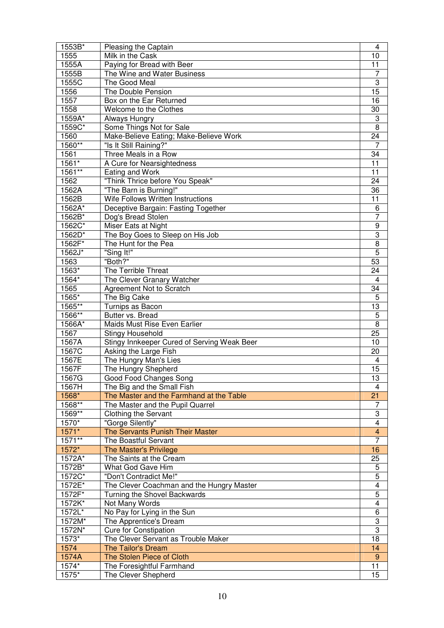| 1553B*  | Pleasing the Captain                        | 4                         |
|---------|---------------------------------------------|---------------------------|
| 1555    | Milk in the Cask                            | 10                        |
| 1555A   | Paying for Bread with Beer                  | 11                        |
| 1555B   | The Wine and Water Business                 | 7                         |
| 1555C   | The Good Meal                               | 3                         |
| 1556    | The Double Pension                          | 15                        |
| 1557    | Box on the Ear Returned                     | 16                        |
| 1558    | Welcome to the Clothes                      | 30                        |
| 1559A*  | Always Hungry                               | $\ensuremath{\mathsf{3}}$ |
| 1559C*  | Some Things Not for Sale                    | 8                         |
| 1560    | Make-Believe Eating; Make-Believe Work      | 24                        |
| 1560**  | "Is It Still Raining?"                      | 7                         |
| 1561    | Three Meals in a Row                        | 34                        |
| 1561*   | A Cure for Nearsightedness                  | 11                        |
| 1561**  | Eating and Work                             | 11                        |
| 1562    | "Think Thrice before You Speak"             | 24                        |
| 1562A   | "The Barn is Burning!"                      | 36                        |
| 1562B   | Wife Follows Written Instructions           | 11                        |
| 1562A*  | Deceptive Bargain: Fasting Together         | 6                         |
| 1562B*  | Dog's Bread Stolen                          | 7                         |
| 1562C*  | Miser Eats at Night                         | 9                         |
| 1562D*  | The Boy Goes to Sleep on His Job            | 3                         |
| 1562F*  | The Hunt for the Pea                        | $\overline{8}$            |
| 1562J*  | "Sing It!"                                  | 5                         |
| 1563    | "Both?"                                     | 53                        |
| 1563*   | The Terrible Threat                         | 24                        |
| 1564*   | The Clever Granary Watcher                  | 4                         |
| 1565    | <b>Agreement Not to Scratch</b>             | 34                        |
| 1565*   | The Big Cake                                | 5                         |
| 1565**  | Turnips as Bacon                            | 13                        |
| 1566**  | Butter vs. Bread                            | 5                         |
| 1566A*  | Maids Must Rise Even Earlier                | 8                         |
| 1567    | <b>Stingy Household</b>                     | 25                        |
| 1567A   | Stingy Innkeeper Cured of Serving Weak Beer | 10                        |
| 1567C   | Asking the Large Fish                       | 20                        |
| 1567E   | The Hungry Man's Lies                       | $\overline{\mathbf{4}}$   |
| 1567F   | The Hungry Shepherd                         | 15                        |
| 1567G   | <b>Good Food Changes Song</b>               | $\overline{13}$           |
| 1567H   | The Big and the Small Fish                  | 4                         |
| 1568*   | The Master and the Farmhand at the Table    | 21                        |
| 1568**  | The Master and the Pupil Quarrel            | 7                         |
| 1569**  | <b>Clothing the Servant</b>                 | 3                         |
| 1570*   | "Gorge Silently"                            | $\overline{\mathbf{4}}$   |
| $1571*$ | The Servants Punish Their Master            | $\overline{\mathbf{4}}$   |
| 1571**  | The Boastful Servant                        | 7                         |
| 1572*   | <b>The Master's Privilege</b>               | 16                        |
| 1572A*  | The Saints at the Cream                     | 25                        |
| 1572B*  | What God Gave Him                           | 5                         |
| 1572C*  | "Don't Contradict Me!"                      | $\overline{5}$            |
| 1572E*  | The Clever Coachman and the Hungry Master   | $\overline{4}$            |
| 1572F*  | Turning the Shovel Backwards                | 5                         |
| 1572K*  | Not Many Words                              | $\overline{\mathbf{4}}$   |
| 1572L*  | No Pay for Lying in the Sun                 | 6                         |
| 1572M*  | The Apprentice's Dream                      | 3                         |
| 1572N*  | <b>Cure for Constipation</b>                | $\overline{3}$            |
| 1573*   | The Clever Servant as Trouble Maker         | 18                        |
| 1574    | <b>The Tailor's Dream</b>                   | 14                        |
| 1574A   | The Stolen Piece of Cloth                   | 9                         |
| 1574*   | The Foresightful Farmhand                   | $\overline{11}$           |
| 1575*   | The Clever Shepherd                         | 15                        |
|         |                                             |                           |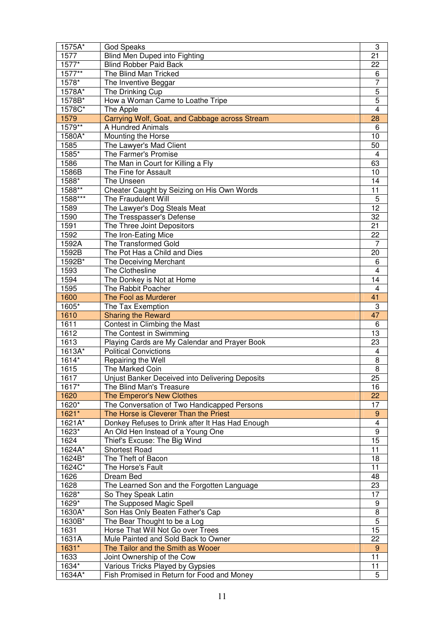| 1575A*        | <b>God Speaks</b>                                                                    | 3                                           |
|---------------|--------------------------------------------------------------------------------------|---------------------------------------------|
| 1577          | Blind Men Duped into Fighting                                                        | 21                                          |
| 1577*         | <b>Blind Robber Paid Back</b>                                                        | 22                                          |
| 1577**        | The Blind Man Tricked                                                                | 6                                           |
| 1578*         | The Inventive Beggar                                                                 | 7                                           |
| 1578A*        | The Drinking Cup                                                                     | $\overline{5}$                              |
| 1578B*        | How a Woman Came to Loathe Tripe                                                     | $\overline{5}$                              |
| 1578C*        | The Apple                                                                            | $\overline{4}$                              |
| 1579          | Carrying Wolf, Goat, and Cabbage across Stream                                       | 28                                          |
| 1579**        | A Hundred Animals                                                                    | 6                                           |
| 1580A*        | Mounting the Horse                                                                   | 10                                          |
| 1585          | The Lawyer's Mad Client                                                              | 50                                          |
| 1585*         | The Farmer's Promise                                                                 | $\overline{4}$                              |
| 1586          | The Man in Court for Killing a Fly                                                   | 63                                          |
| 1586B         | The Fine for Assault                                                                 | 10                                          |
| 1588*         | The Unseen                                                                           | 14                                          |
| 1588**        | Cheater Caught by Seizing on His Own Words                                           | 11                                          |
| 1588***       | The Fraudulent Will                                                                  | 5                                           |
| 1589          | The Lawyer's Dog Steals Meat                                                         | 12                                          |
| 1590          | The Tresspasser's Defense                                                            | 32                                          |
| 1591          | The Three Joint Depositors                                                           | 21                                          |
| 1592          | The Iron-Eating Mice                                                                 | 22                                          |
| 1592A         | The Transformed Gold                                                                 | 7                                           |
| 1592B         | The Pot Has a Child and Dies                                                         | 20                                          |
| 1592B*        | The Deceiving Merchant                                                               | 6                                           |
| 1593          | The Clothesline                                                                      | 4                                           |
| 1594          | The Donkey is Not at Home                                                            | 14                                          |
| 1595          | The Rabbit Poacher                                                                   | 4                                           |
| 1600          | The Fool as Murderer                                                                 | 41                                          |
| 1605*         | The Tax Exemption                                                                    | 3                                           |
| 1610          | <b>Sharing the Reward</b>                                                            | 47                                          |
| 1611          | Contest in Climbing the Mast                                                         | 6                                           |
| 1612          | The Contest in Swimming                                                              | 13                                          |
| 1613          | Playing Cards are My Calendar and Prayer Book                                        | 23                                          |
| 1613A*        | <b>Political Convictions</b>                                                         | 4                                           |
| 1614*         | Repairing the Well                                                                   | 8                                           |
| 1615          | The Marked Coin                                                                      | 8                                           |
| 1617          | Unjust Banker Deceived into Delivering Deposits                                      | $\overline{25}$                             |
| 1617*         | The Blind Man's Treasure                                                             | 16                                          |
| 1620<br>1620* | The Emperor's New Clothes                                                            | 22                                          |
| 1621*         | The Conversation of Two Handicapped Persons<br>The Horse is Cleverer Than the Priest | 17                                          |
| 1621A*        | Donkey Refuses to Drink after It Has Had Enough                                      | $\boldsymbol{9}$<br>$\overline{\mathbf{4}}$ |
| 1623*         | An Old Hen Instead of a Young One                                                    | $\overline{9}$                              |
| 1624          | Thief's Excuse: The Big Wind                                                         | 15                                          |
| 1624A*        | <b>Shortest Road</b>                                                                 | 11                                          |
| 1624B*        | The Theft of Bacon                                                                   | 18                                          |
| 1624C*        | The Horse's Fault                                                                    | 11                                          |
| 1626          | Dream Bed                                                                            | 48                                          |
| 1628          | The Learned Son and the Forgotten Language                                           | 23                                          |
| 1628*         | So They Speak Latin                                                                  | 17                                          |
| 1629*         | The Supposed Magic Spell                                                             | 9                                           |
| 1630A*        | Son Has Only Beaten Father's Cap                                                     | $\overline{8}$                              |
| 1630B*        | The Bear Thought to be a Log                                                         | $\overline{5}$                              |
| 1631          | Horse That Will Not Go over Trees                                                    | $1\overline{5}$                             |
| 1631A         | Mule Painted and Sold Back to Owner                                                  | 22                                          |
| 1631*         | The Tailor and the Smith as Wooer                                                    | $9\,$                                       |
| 1633          | Joint Ownership of the Cow                                                           | $\overline{11}$                             |
| 1634*         | Various Tricks Played by Gypsies                                                     | 11                                          |
| 1634A*        | Fish Promised in Return for Food and Money                                           | 5                                           |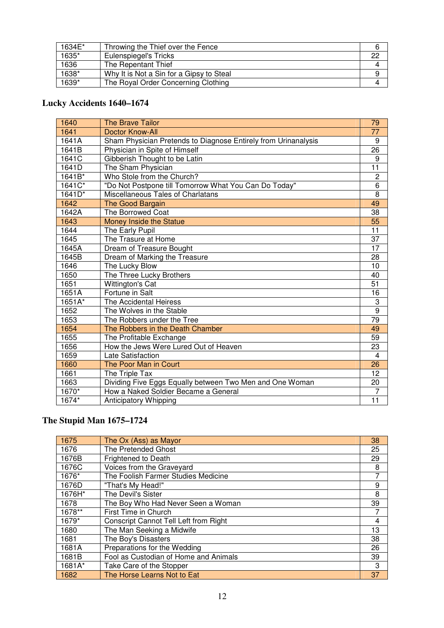| 1634E* | Throwing the Thief over the Fence        |     |
|--------|------------------------------------------|-----|
| 1635*  | Eulenspiegel's Tricks                    | -22 |
| 1636   | The Repentant Thief                      |     |
| 1638*  | Why It is Not a Sin for a Gipsy to Steal |     |
| 1639*  | The Royal Order Concerning Clothing      |     |

## **Lucky Accidents 1640–1674**

| 1640                 | <b>The Brave Tailor</b>                                        | 79              |
|----------------------|----------------------------------------------------------------|-----------------|
| 1641                 | <b>Doctor Know-All</b>                                         | 77              |
| 1641A                | Sham Physician Pretends to Diagnose Entirely from Urinanalysis | 9               |
| 1641B                | Physician in Spite of Himself                                  | 26              |
| 1641C                | Gibberish Thought to be Latin                                  | 9               |
| 1641D                | The Sham Physician                                             | $\overline{11}$ |
| 1641B*               | Who Stole from the Church?                                     | $\overline{c}$  |
| $1641C$ *            | "Do Not Postpone till Tomorrow What You Can Do Today"          | 6               |
| $164\overline{1D^*}$ | Miscellaneous Tales of Charlatans                              | 8               |
| 1642                 | The Good Bargain                                               | 49              |
| 1642A                | The Borrowed Coat                                              | 38              |
| 1643                 | <b>Money Inside the Statue</b>                                 | 55              |
| 1644                 | The Early Pupil                                                | 11              |
| 1645                 | The Trasure at Home                                            | $\overline{37}$ |
| 1645A                | Dream of Treasure Bought                                       | 17              |
| 1645B                | Dream of Marking the Treasure                                  | 28              |
| 1646                 | The Lucky Blow                                                 | 10              |
| 1650                 | The Three Lucky Brothers                                       | 40              |
| 1651                 | Wittington's Cat                                               | 51              |
| 1651A                | Fortune in Salt                                                | 16              |
| 1651A*               | The Accidental Heiress                                         | 3               |
| 1652                 | The Wolves in the Stable                                       | $\overline{9}$  |
| 1653                 | The Robbers under the Tree                                     | 79              |
| 1654                 | The Robbers in the Death Chamber                               | 49              |
| 1655                 | The Profitable Exchange                                        | 59              |
| 1656                 | How the Jews Were Lured Out of Heaven                          | 23              |
| 1659                 | Late Satisfaction                                              | $\overline{4}$  |
| 1660                 | The Poor Man in Court                                          | 26              |
| 1661                 | The Triple Tax                                                 | 12              |
| 1663                 | Dividing Five Eggs Equally between Two Men and One Woman       | 20              |
| 1670*                | How a Naked Soldier Became a General                           | $\overline{7}$  |
| 1674*                | Anticipatory Whipping                                          | 11              |

## **The Stupid Man 1675–1724**

| 1675   | The Ox (Ass) as Mayor                        | 38 |
|--------|----------------------------------------------|----|
| 1676   | The Pretended Ghost                          | 25 |
| 1676B  | Frightened to Death                          | 29 |
| 1676C  | Voices from the Graveyard                    | 8  |
| 1676*  | The Foolish Farmer Studies Medicine          | 7  |
| 1676D  | "That's My Head!"                            | 9  |
| 1676H* | The Devil's Sister                           | 8  |
| 1678   | The Boy Who Had Never Seen a Woman           | 39 |
| 1678** | First Time in Church                         |    |
| 1679*  | <b>Conscript Cannot Tell Left from Right</b> | 4  |
| 1680   | The Man Seeking a Midwife                    | 13 |
| 1681   | The Boy's Disasters                          | 38 |
| 1681A  | Preparations for the Wedding                 | 26 |
| 1681B  | Fool as Custodian of Home and Animals        | 39 |
| 1681A* | Take Care of the Stopper                     | 3  |
| 1682   | The Horse Learns Not to Eat                  | 37 |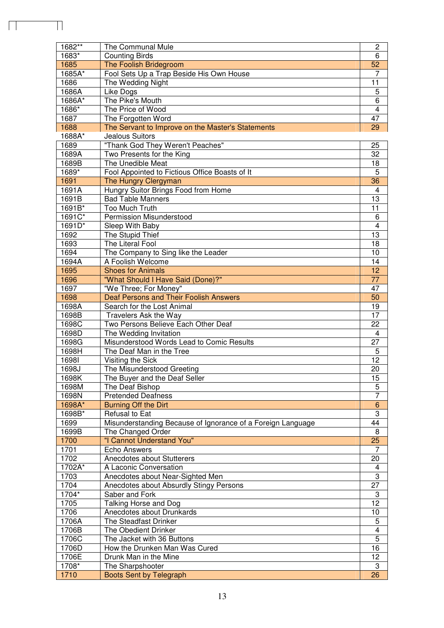| 1683*<br>6<br><b>Counting Birds</b><br>52<br>1685<br>The Foolish Bridegroom<br>1685A*<br>Fool Sets Up a Trap Beside His Own House<br>7<br>11<br>1686<br>The Wedding Night<br>5<br>1686A<br>Like Dogs<br>The Pike's Mouth<br>$\overline{6}$<br>1686A*<br>$\overline{4}$<br>1686*<br>The Price of Wood<br>1687<br>The Forgotten Word<br>47<br>1688<br>The Servant to Improve on the Master's Statements<br>29<br>1688A*<br>Jealous Suitors<br>"Thank God They Weren't Peaches"<br>1689<br>25<br>32<br>1689A<br>Two Presents for the King<br>18<br>1689B<br>The Unedible Meat<br>$\overline{5}$<br>1689*<br>Fool Appointed to Fictious Office Boasts of It<br>36<br>1691<br>The Hungry Clergyman<br>Hungry Suitor Brings Food from Home<br>1691A<br>$\overline{\mathbf{4}}$<br>13<br>1691B<br><b>Bad Table Manners</b><br>11<br>1691B*<br>Too Much Truth<br>1691C*<br><b>Permission Misunderstood</b><br>6<br>$\overline{4}$<br>1691D*<br>Sleep With Baby<br>1692<br>13<br>The Stupid Thief<br>1693<br>The Literal Fool<br>18<br>1694<br>10<br>The Company to Sing like the Leader<br>1694A<br>A Foolish Welcome<br>14<br>12<br>1695<br><b>Shoes for Animals</b><br>1696<br>"What Should I Have Said (Done)?"<br>77<br>"We Three; For Money"<br>1697<br>47<br><b>Deaf Persons and Their Foolish Answers</b><br>50<br>1698<br>19<br>1698A<br>Search for the Lost Animal<br>17<br>1698B<br>Travelers Ask the Way<br>Two Persons Believe Each Other Deaf<br>22<br>1698C<br>$\overline{\mathbf{4}}$<br>1698D<br>The Wedding Invitation<br>27<br>1698G<br>Misunderstood Words Lead to Comic Results<br>1698H<br>The Deaf Man in the Tree<br>5<br>$\overline{12}$<br>16981<br>Visiting the Sick<br>1698J<br>The Misunderstood Greeting<br>20<br>1698K<br>The Buyer and the Deaf Seller<br>$\overline{15}$<br>5<br>The Deaf Bishop<br>1698M<br>$\overline{7}$<br>1698N<br><b>Pretended Deafness</b><br>1698A*<br><b>Burning Off the Dirt</b><br>$\,$ 6<br>3<br>1698B*<br>Refusal to Eat<br>44<br>1699<br>Misunderstanding Because of Ignorance of a Foreign Language<br>1699B<br>The Changed Order<br>8<br>1700<br>"I Cannot Understand You"<br>25<br>1701<br>Echo Answers<br>7<br>1702<br>Anecdotes about Stutterers<br>20<br>1702A*<br>A Laconic Conversation<br>4<br>3<br>1703<br>Anecdotes about Near-Sighted Men<br>$\overline{27}$<br>1704<br>Anecdotes about Absurdly Stingy Persons<br>1704*<br>Saber and Fork<br>3<br>$\overline{12}$<br>1705<br>Talking Horse and Dog<br>1706<br>Anecdotes about Drunkards<br>10<br>1706A<br>The Steadfast Drinker<br>5<br>$\overline{4}$<br>1706B<br>The Obedient Drinker<br>$\overline{5}$<br>1706C<br>The Jacket with 36 Buttons<br>16<br>1706D<br>How the Drunken Man Was Cured<br>12<br>1706E<br>Drunk Man in the Mine<br>1708*<br>The Sharpshooter<br>3<br>1710<br><b>Boots Sent by Telegraph</b><br>26 | $1682**$ | The Communal Mule | $\mathbf 2$ |
|-----------------------------------------------------------------------------------------------------------------------------------------------------------------------------------------------------------------------------------------------------------------------------------------------------------------------------------------------------------------------------------------------------------------------------------------------------------------------------------------------------------------------------------------------------------------------------------------------------------------------------------------------------------------------------------------------------------------------------------------------------------------------------------------------------------------------------------------------------------------------------------------------------------------------------------------------------------------------------------------------------------------------------------------------------------------------------------------------------------------------------------------------------------------------------------------------------------------------------------------------------------------------------------------------------------------------------------------------------------------------------------------------------------------------------------------------------------------------------------------------------------------------------------------------------------------------------------------------------------------------------------------------------------------------------------------------------------------------------------------------------------------------------------------------------------------------------------------------------------------------------------------------------------------------------------------------------------------------------------------------------------------------------------------------------------------------------------------------------------------------------------------------------------------------------------------------------------------------------------------------------------------------------------------------------------------------------------------------------------------------------------------------------------------------------------------------------------------------------------------------------------------------------------------------------------------------------------------------------------------------------------------------------------------------------------------------------------------------------------------------------------------------------------------------------------------------------------------------|----------|-------------------|-------------|
|                                                                                                                                                                                                                                                                                                                                                                                                                                                                                                                                                                                                                                                                                                                                                                                                                                                                                                                                                                                                                                                                                                                                                                                                                                                                                                                                                                                                                                                                                                                                                                                                                                                                                                                                                                                                                                                                                                                                                                                                                                                                                                                                                                                                                                                                                                                                                                                                                                                                                                                                                                                                                                                                                                                                                                                                                                               |          |                   |             |
|                                                                                                                                                                                                                                                                                                                                                                                                                                                                                                                                                                                                                                                                                                                                                                                                                                                                                                                                                                                                                                                                                                                                                                                                                                                                                                                                                                                                                                                                                                                                                                                                                                                                                                                                                                                                                                                                                                                                                                                                                                                                                                                                                                                                                                                                                                                                                                                                                                                                                                                                                                                                                                                                                                                                                                                                                                               |          |                   |             |
|                                                                                                                                                                                                                                                                                                                                                                                                                                                                                                                                                                                                                                                                                                                                                                                                                                                                                                                                                                                                                                                                                                                                                                                                                                                                                                                                                                                                                                                                                                                                                                                                                                                                                                                                                                                                                                                                                                                                                                                                                                                                                                                                                                                                                                                                                                                                                                                                                                                                                                                                                                                                                                                                                                                                                                                                                                               |          |                   |             |
|                                                                                                                                                                                                                                                                                                                                                                                                                                                                                                                                                                                                                                                                                                                                                                                                                                                                                                                                                                                                                                                                                                                                                                                                                                                                                                                                                                                                                                                                                                                                                                                                                                                                                                                                                                                                                                                                                                                                                                                                                                                                                                                                                                                                                                                                                                                                                                                                                                                                                                                                                                                                                                                                                                                                                                                                                                               |          |                   |             |
|                                                                                                                                                                                                                                                                                                                                                                                                                                                                                                                                                                                                                                                                                                                                                                                                                                                                                                                                                                                                                                                                                                                                                                                                                                                                                                                                                                                                                                                                                                                                                                                                                                                                                                                                                                                                                                                                                                                                                                                                                                                                                                                                                                                                                                                                                                                                                                                                                                                                                                                                                                                                                                                                                                                                                                                                                                               |          |                   |             |
|                                                                                                                                                                                                                                                                                                                                                                                                                                                                                                                                                                                                                                                                                                                                                                                                                                                                                                                                                                                                                                                                                                                                                                                                                                                                                                                                                                                                                                                                                                                                                                                                                                                                                                                                                                                                                                                                                                                                                                                                                                                                                                                                                                                                                                                                                                                                                                                                                                                                                                                                                                                                                                                                                                                                                                                                                                               |          |                   |             |
|                                                                                                                                                                                                                                                                                                                                                                                                                                                                                                                                                                                                                                                                                                                                                                                                                                                                                                                                                                                                                                                                                                                                                                                                                                                                                                                                                                                                                                                                                                                                                                                                                                                                                                                                                                                                                                                                                                                                                                                                                                                                                                                                                                                                                                                                                                                                                                                                                                                                                                                                                                                                                                                                                                                                                                                                                                               |          |                   |             |
|                                                                                                                                                                                                                                                                                                                                                                                                                                                                                                                                                                                                                                                                                                                                                                                                                                                                                                                                                                                                                                                                                                                                                                                                                                                                                                                                                                                                                                                                                                                                                                                                                                                                                                                                                                                                                                                                                                                                                                                                                                                                                                                                                                                                                                                                                                                                                                                                                                                                                                                                                                                                                                                                                                                                                                                                                                               |          |                   |             |
|                                                                                                                                                                                                                                                                                                                                                                                                                                                                                                                                                                                                                                                                                                                                                                                                                                                                                                                                                                                                                                                                                                                                                                                                                                                                                                                                                                                                                                                                                                                                                                                                                                                                                                                                                                                                                                                                                                                                                                                                                                                                                                                                                                                                                                                                                                                                                                                                                                                                                                                                                                                                                                                                                                                                                                                                                                               |          |                   |             |
|                                                                                                                                                                                                                                                                                                                                                                                                                                                                                                                                                                                                                                                                                                                                                                                                                                                                                                                                                                                                                                                                                                                                                                                                                                                                                                                                                                                                                                                                                                                                                                                                                                                                                                                                                                                                                                                                                                                                                                                                                                                                                                                                                                                                                                                                                                                                                                                                                                                                                                                                                                                                                                                                                                                                                                                                                                               |          |                   |             |
|                                                                                                                                                                                                                                                                                                                                                                                                                                                                                                                                                                                                                                                                                                                                                                                                                                                                                                                                                                                                                                                                                                                                                                                                                                                                                                                                                                                                                                                                                                                                                                                                                                                                                                                                                                                                                                                                                                                                                                                                                                                                                                                                                                                                                                                                                                                                                                                                                                                                                                                                                                                                                                                                                                                                                                                                                                               |          |                   |             |
|                                                                                                                                                                                                                                                                                                                                                                                                                                                                                                                                                                                                                                                                                                                                                                                                                                                                                                                                                                                                                                                                                                                                                                                                                                                                                                                                                                                                                                                                                                                                                                                                                                                                                                                                                                                                                                                                                                                                                                                                                                                                                                                                                                                                                                                                                                                                                                                                                                                                                                                                                                                                                                                                                                                                                                                                                                               |          |                   |             |
|                                                                                                                                                                                                                                                                                                                                                                                                                                                                                                                                                                                                                                                                                                                                                                                                                                                                                                                                                                                                                                                                                                                                                                                                                                                                                                                                                                                                                                                                                                                                                                                                                                                                                                                                                                                                                                                                                                                                                                                                                                                                                                                                                                                                                                                                                                                                                                                                                                                                                                                                                                                                                                                                                                                                                                                                                                               |          |                   |             |
|                                                                                                                                                                                                                                                                                                                                                                                                                                                                                                                                                                                                                                                                                                                                                                                                                                                                                                                                                                                                                                                                                                                                                                                                                                                                                                                                                                                                                                                                                                                                                                                                                                                                                                                                                                                                                                                                                                                                                                                                                                                                                                                                                                                                                                                                                                                                                                                                                                                                                                                                                                                                                                                                                                                                                                                                                                               |          |                   |             |
|                                                                                                                                                                                                                                                                                                                                                                                                                                                                                                                                                                                                                                                                                                                                                                                                                                                                                                                                                                                                                                                                                                                                                                                                                                                                                                                                                                                                                                                                                                                                                                                                                                                                                                                                                                                                                                                                                                                                                                                                                                                                                                                                                                                                                                                                                                                                                                                                                                                                                                                                                                                                                                                                                                                                                                                                                                               |          |                   |             |
|                                                                                                                                                                                                                                                                                                                                                                                                                                                                                                                                                                                                                                                                                                                                                                                                                                                                                                                                                                                                                                                                                                                                                                                                                                                                                                                                                                                                                                                                                                                                                                                                                                                                                                                                                                                                                                                                                                                                                                                                                                                                                                                                                                                                                                                                                                                                                                                                                                                                                                                                                                                                                                                                                                                                                                                                                                               |          |                   |             |
|                                                                                                                                                                                                                                                                                                                                                                                                                                                                                                                                                                                                                                                                                                                                                                                                                                                                                                                                                                                                                                                                                                                                                                                                                                                                                                                                                                                                                                                                                                                                                                                                                                                                                                                                                                                                                                                                                                                                                                                                                                                                                                                                                                                                                                                                                                                                                                                                                                                                                                                                                                                                                                                                                                                                                                                                                                               |          |                   |             |
|                                                                                                                                                                                                                                                                                                                                                                                                                                                                                                                                                                                                                                                                                                                                                                                                                                                                                                                                                                                                                                                                                                                                                                                                                                                                                                                                                                                                                                                                                                                                                                                                                                                                                                                                                                                                                                                                                                                                                                                                                                                                                                                                                                                                                                                                                                                                                                                                                                                                                                                                                                                                                                                                                                                                                                                                                                               |          |                   |             |
|                                                                                                                                                                                                                                                                                                                                                                                                                                                                                                                                                                                                                                                                                                                                                                                                                                                                                                                                                                                                                                                                                                                                                                                                                                                                                                                                                                                                                                                                                                                                                                                                                                                                                                                                                                                                                                                                                                                                                                                                                                                                                                                                                                                                                                                                                                                                                                                                                                                                                                                                                                                                                                                                                                                                                                                                                                               |          |                   |             |
|                                                                                                                                                                                                                                                                                                                                                                                                                                                                                                                                                                                                                                                                                                                                                                                                                                                                                                                                                                                                                                                                                                                                                                                                                                                                                                                                                                                                                                                                                                                                                                                                                                                                                                                                                                                                                                                                                                                                                                                                                                                                                                                                                                                                                                                                                                                                                                                                                                                                                                                                                                                                                                                                                                                                                                                                                                               |          |                   |             |
|                                                                                                                                                                                                                                                                                                                                                                                                                                                                                                                                                                                                                                                                                                                                                                                                                                                                                                                                                                                                                                                                                                                                                                                                                                                                                                                                                                                                                                                                                                                                                                                                                                                                                                                                                                                                                                                                                                                                                                                                                                                                                                                                                                                                                                                                                                                                                                                                                                                                                                                                                                                                                                                                                                                                                                                                                                               |          |                   |             |
|                                                                                                                                                                                                                                                                                                                                                                                                                                                                                                                                                                                                                                                                                                                                                                                                                                                                                                                                                                                                                                                                                                                                                                                                                                                                                                                                                                                                                                                                                                                                                                                                                                                                                                                                                                                                                                                                                                                                                                                                                                                                                                                                                                                                                                                                                                                                                                                                                                                                                                                                                                                                                                                                                                                                                                                                                                               |          |                   |             |
|                                                                                                                                                                                                                                                                                                                                                                                                                                                                                                                                                                                                                                                                                                                                                                                                                                                                                                                                                                                                                                                                                                                                                                                                                                                                                                                                                                                                                                                                                                                                                                                                                                                                                                                                                                                                                                                                                                                                                                                                                                                                                                                                                                                                                                                                                                                                                                                                                                                                                                                                                                                                                                                                                                                                                                                                                                               |          |                   |             |
|                                                                                                                                                                                                                                                                                                                                                                                                                                                                                                                                                                                                                                                                                                                                                                                                                                                                                                                                                                                                                                                                                                                                                                                                                                                                                                                                                                                                                                                                                                                                                                                                                                                                                                                                                                                                                                                                                                                                                                                                                                                                                                                                                                                                                                                                                                                                                                                                                                                                                                                                                                                                                                                                                                                                                                                                                                               |          |                   |             |
|                                                                                                                                                                                                                                                                                                                                                                                                                                                                                                                                                                                                                                                                                                                                                                                                                                                                                                                                                                                                                                                                                                                                                                                                                                                                                                                                                                                                                                                                                                                                                                                                                                                                                                                                                                                                                                                                                                                                                                                                                                                                                                                                                                                                                                                                                                                                                                                                                                                                                                                                                                                                                                                                                                                                                                                                                                               |          |                   |             |
|                                                                                                                                                                                                                                                                                                                                                                                                                                                                                                                                                                                                                                                                                                                                                                                                                                                                                                                                                                                                                                                                                                                                                                                                                                                                                                                                                                                                                                                                                                                                                                                                                                                                                                                                                                                                                                                                                                                                                                                                                                                                                                                                                                                                                                                                                                                                                                                                                                                                                                                                                                                                                                                                                                                                                                                                                                               |          |                   |             |
|                                                                                                                                                                                                                                                                                                                                                                                                                                                                                                                                                                                                                                                                                                                                                                                                                                                                                                                                                                                                                                                                                                                                                                                                                                                                                                                                                                                                                                                                                                                                                                                                                                                                                                                                                                                                                                                                                                                                                                                                                                                                                                                                                                                                                                                                                                                                                                                                                                                                                                                                                                                                                                                                                                                                                                                                                                               |          |                   |             |
|                                                                                                                                                                                                                                                                                                                                                                                                                                                                                                                                                                                                                                                                                                                                                                                                                                                                                                                                                                                                                                                                                                                                                                                                                                                                                                                                                                                                                                                                                                                                                                                                                                                                                                                                                                                                                                                                                                                                                                                                                                                                                                                                                                                                                                                                                                                                                                                                                                                                                                                                                                                                                                                                                                                                                                                                                                               |          |                   |             |
|                                                                                                                                                                                                                                                                                                                                                                                                                                                                                                                                                                                                                                                                                                                                                                                                                                                                                                                                                                                                                                                                                                                                                                                                                                                                                                                                                                                                                                                                                                                                                                                                                                                                                                                                                                                                                                                                                                                                                                                                                                                                                                                                                                                                                                                                                                                                                                                                                                                                                                                                                                                                                                                                                                                                                                                                                                               |          |                   |             |
|                                                                                                                                                                                                                                                                                                                                                                                                                                                                                                                                                                                                                                                                                                                                                                                                                                                                                                                                                                                                                                                                                                                                                                                                                                                                                                                                                                                                                                                                                                                                                                                                                                                                                                                                                                                                                                                                                                                                                                                                                                                                                                                                                                                                                                                                                                                                                                                                                                                                                                                                                                                                                                                                                                                                                                                                                                               |          |                   |             |
|                                                                                                                                                                                                                                                                                                                                                                                                                                                                                                                                                                                                                                                                                                                                                                                                                                                                                                                                                                                                                                                                                                                                                                                                                                                                                                                                                                                                                                                                                                                                                                                                                                                                                                                                                                                                                                                                                                                                                                                                                                                                                                                                                                                                                                                                                                                                                                                                                                                                                                                                                                                                                                                                                                                                                                                                                                               |          |                   |             |
|                                                                                                                                                                                                                                                                                                                                                                                                                                                                                                                                                                                                                                                                                                                                                                                                                                                                                                                                                                                                                                                                                                                                                                                                                                                                                                                                                                                                                                                                                                                                                                                                                                                                                                                                                                                                                                                                                                                                                                                                                                                                                                                                                                                                                                                                                                                                                                                                                                                                                                                                                                                                                                                                                                                                                                                                                                               |          |                   |             |
|                                                                                                                                                                                                                                                                                                                                                                                                                                                                                                                                                                                                                                                                                                                                                                                                                                                                                                                                                                                                                                                                                                                                                                                                                                                                                                                                                                                                                                                                                                                                                                                                                                                                                                                                                                                                                                                                                                                                                                                                                                                                                                                                                                                                                                                                                                                                                                                                                                                                                                                                                                                                                                                                                                                                                                                                                                               |          |                   |             |
|                                                                                                                                                                                                                                                                                                                                                                                                                                                                                                                                                                                                                                                                                                                                                                                                                                                                                                                                                                                                                                                                                                                                                                                                                                                                                                                                                                                                                                                                                                                                                                                                                                                                                                                                                                                                                                                                                                                                                                                                                                                                                                                                                                                                                                                                                                                                                                                                                                                                                                                                                                                                                                                                                                                                                                                                                                               |          |                   |             |
|                                                                                                                                                                                                                                                                                                                                                                                                                                                                                                                                                                                                                                                                                                                                                                                                                                                                                                                                                                                                                                                                                                                                                                                                                                                                                                                                                                                                                                                                                                                                                                                                                                                                                                                                                                                                                                                                                                                                                                                                                                                                                                                                                                                                                                                                                                                                                                                                                                                                                                                                                                                                                                                                                                                                                                                                                                               |          |                   |             |
|                                                                                                                                                                                                                                                                                                                                                                                                                                                                                                                                                                                                                                                                                                                                                                                                                                                                                                                                                                                                                                                                                                                                                                                                                                                                                                                                                                                                                                                                                                                                                                                                                                                                                                                                                                                                                                                                                                                                                                                                                                                                                                                                                                                                                                                                                                                                                                                                                                                                                                                                                                                                                                                                                                                                                                                                                                               |          |                   |             |
|                                                                                                                                                                                                                                                                                                                                                                                                                                                                                                                                                                                                                                                                                                                                                                                                                                                                                                                                                                                                                                                                                                                                                                                                                                                                                                                                                                                                                                                                                                                                                                                                                                                                                                                                                                                                                                                                                                                                                                                                                                                                                                                                                                                                                                                                                                                                                                                                                                                                                                                                                                                                                                                                                                                                                                                                                                               |          |                   |             |
|                                                                                                                                                                                                                                                                                                                                                                                                                                                                                                                                                                                                                                                                                                                                                                                                                                                                                                                                                                                                                                                                                                                                                                                                                                                                                                                                                                                                                                                                                                                                                                                                                                                                                                                                                                                                                                                                                                                                                                                                                                                                                                                                                                                                                                                                                                                                                                                                                                                                                                                                                                                                                                                                                                                                                                                                                                               |          |                   |             |
|                                                                                                                                                                                                                                                                                                                                                                                                                                                                                                                                                                                                                                                                                                                                                                                                                                                                                                                                                                                                                                                                                                                                                                                                                                                                                                                                                                                                                                                                                                                                                                                                                                                                                                                                                                                                                                                                                                                                                                                                                                                                                                                                                                                                                                                                                                                                                                                                                                                                                                                                                                                                                                                                                                                                                                                                                                               |          |                   |             |
|                                                                                                                                                                                                                                                                                                                                                                                                                                                                                                                                                                                                                                                                                                                                                                                                                                                                                                                                                                                                                                                                                                                                                                                                                                                                                                                                                                                                                                                                                                                                                                                                                                                                                                                                                                                                                                                                                                                                                                                                                                                                                                                                                                                                                                                                                                                                                                                                                                                                                                                                                                                                                                                                                                                                                                                                                                               |          |                   |             |
|                                                                                                                                                                                                                                                                                                                                                                                                                                                                                                                                                                                                                                                                                                                                                                                                                                                                                                                                                                                                                                                                                                                                                                                                                                                                                                                                                                                                                                                                                                                                                                                                                                                                                                                                                                                                                                                                                                                                                                                                                                                                                                                                                                                                                                                                                                                                                                                                                                                                                                                                                                                                                                                                                                                                                                                                                                               |          |                   |             |
|                                                                                                                                                                                                                                                                                                                                                                                                                                                                                                                                                                                                                                                                                                                                                                                                                                                                                                                                                                                                                                                                                                                                                                                                                                                                                                                                                                                                                                                                                                                                                                                                                                                                                                                                                                                                                                                                                                                                                                                                                                                                                                                                                                                                                                                                                                                                                                                                                                                                                                                                                                                                                                                                                                                                                                                                                                               |          |                   |             |
|                                                                                                                                                                                                                                                                                                                                                                                                                                                                                                                                                                                                                                                                                                                                                                                                                                                                                                                                                                                                                                                                                                                                                                                                                                                                                                                                                                                                                                                                                                                                                                                                                                                                                                                                                                                                                                                                                                                                                                                                                                                                                                                                                                                                                                                                                                                                                                                                                                                                                                                                                                                                                                                                                                                                                                                                                                               |          |                   |             |
|                                                                                                                                                                                                                                                                                                                                                                                                                                                                                                                                                                                                                                                                                                                                                                                                                                                                                                                                                                                                                                                                                                                                                                                                                                                                                                                                                                                                                                                                                                                                                                                                                                                                                                                                                                                                                                                                                                                                                                                                                                                                                                                                                                                                                                                                                                                                                                                                                                                                                                                                                                                                                                                                                                                                                                                                                                               |          |                   |             |
|                                                                                                                                                                                                                                                                                                                                                                                                                                                                                                                                                                                                                                                                                                                                                                                                                                                                                                                                                                                                                                                                                                                                                                                                                                                                                                                                                                                                                                                                                                                                                                                                                                                                                                                                                                                                                                                                                                                                                                                                                                                                                                                                                                                                                                                                                                                                                                                                                                                                                                                                                                                                                                                                                                                                                                                                                                               |          |                   |             |
|                                                                                                                                                                                                                                                                                                                                                                                                                                                                                                                                                                                                                                                                                                                                                                                                                                                                                                                                                                                                                                                                                                                                                                                                                                                                                                                                                                                                                                                                                                                                                                                                                                                                                                                                                                                                                                                                                                                                                                                                                                                                                                                                                                                                                                                                                                                                                                                                                                                                                                                                                                                                                                                                                                                                                                                                                                               |          |                   |             |
|                                                                                                                                                                                                                                                                                                                                                                                                                                                                                                                                                                                                                                                                                                                                                                                                                                                                                                                                                                                                                                                                                                                                                                                                                                                                                                                                                                                                                                                                                                                                                                                                                                                                                                                                                                                                                                                                                                                                                                                                                                                                                                                                                                                                                                                                                                                                                                                                                                                                                                                                                                                                                                                                                                                                                                                                                                               |          |                   |             |
|                                                                                                                                                                                                                                                                                                                                                                                                                                                                                                                                                                                                                                                                                                                                                                                                                                                                                                                                                                                                                                                                                                                                                                                                                                                                                                                                                                                                                                                                                                                                                                                                                                                                                                                                                                                                                                                                                                                                                                                                                                                                                                                                                                                                                                                                                                                                                                                                                                                                                                                                                                                                                                                                                                                                                                                                                                               |          |                   |             |
|                                                                                                                                                                                                                                                                                                                                                                                                                                                                                                                                                                                                                                                                                                                                                                                                                                                                                                                                                                                                                                                                                                                                                                                                                                                                                                                                                                                                                                                                                                                                                                                                                                                                                                                                                                                                                                                                                                                                                                                                                                                                                                                                                                                                                                                                                                                                                                                                                                                                                                                                                                                                                                                                                                                                                                                                                                               |          |                   |             |
|                                                                                                                                                                                                                                                                                                                                                                                                                                                                                                                                                                                                                                                                                                                                                                                                                                                                                                                                                                                                                                                                                                                                                                                                                                                                                                                                                                                                                                                                                                                                                                                                                                                                                                                                                                                                                                                                                                                                                                                                                                                                                                                                                                                                                                                                                                                                                                                                                                                                                                                                                                                                                                                                                                                                                                                                                                               |          |                   |             |
|                                                                                                                                                                                                                                                                                                                                                                                                                                                                                                                                                                                                                                                                                                                                                                                                                                                                                                                                                                                                                                                                                                                                                                                                                                                                                                                                                                                                                                                                                                                                                                                                                                                                                                                                                                                                                                                                                                                                                                                                                                                                                                                                                                                                                                                                                                                                                                                                                                                                                                                                                                                                                                                                                                                                                                                                                                               |          |                   |             |
|                                                                                                                                                                                                                                                                                                                                                                                                                                                                                                                                                                                                                                                                                                                                                                                                                                                                                                                                                                                                                                                                                                                                                                                                                                                                                                                                                                                                                                                                                                                                                                                                                                                                                                                                                                                                                                                                                                                                                                                                                                                                                                                                                                                                                                                                                                                                                                                                                                                                                                                                                                                                                                                                                                                                                                                                                                               |          |                   |             |
|                                                                                                                                                                                                                                                                                                                                                                                                                                                                                                                                                                                                                                                                                                                                                                                                                                                                                                                                                                                                                                                                                                                                                                                                                                                                                                                                                                                                                                                                                                                                                                                                                                                                                                                                                                                                                                                                                                                                                                                                                                                                                                                                                                                                                                                                                                                                                                                                                                                                                                                                                                                                                                                                                                                                                                                                                                               |          |                   |             |
|                                                                                                                                                                                                                                                                                                                                                                                                                                                                                                                                                                                                                                                                                                                                                                                                                                                                                                                                                                                                                                                                                                                                                                                                                                                                                                                                                                                                                                                                                                                                                                                                                                                                                                                                                                                                                                                                                                                                                                                                                                                                                                                                                                                                                                                                                                                                                                                                                                                                                                                                                                                                                                                                                                                                                                                                                                               |          |                   |             |
|                                                                                                                                                                                                                                                                                                                                                                                                                                                                                                                                                                                                                                                                                                                                                                                                                                                                                                                                                                                                                                                                                                                                                                                                                                                                                                                                                                                                                                                                                                                                                                                                                                                                                                                                                                                                                                                                                                                                                                                                                                                                                                                                                                                                                                                                                                                                                                                                                                                                                                                                                                                                                                                                                                                                                                                                                                               |          |                   |             |
|                                                                                                                                                                                                                                                                                                                                                                                                                                                                                                                                                                                                                                                                                                                                                                                                                                                                                                                                                                                                                                                                                                                                                                                                                                                                                                                                                                                                                                                                                                                                                                                                                                                                                                                                                                                                                                                                                                                                                                                                                                                                                                                                                                                                                                                                                                                                                                                                                                                                                                                                                                                                                                                                                                                                                                                                                                               |          |                   |             |
|                                                                                                                                                                                                                                                                                                                                                                                                                                                                                                                                                                                                                                                                                                                                                                                                                                                                                                                                                                                                                                                                                                                                                                                                                                                                                                                                                                                                                                                                                                                                                                                                                                                                                                                                                                                                                                                                                                                                                                                                                                                                                                                                                                                                                                                                                                                                                                                                                                                                                                                                                                                                                                                                                                                                                                                                                                               |          |                   |             |
|                                                                                                                                                                                                                                                                                                                                                                                                                                                                                                                                                                                                                                                                                                                                                                                                                                                                                                                                                                                                                                                                                                                                                                                                                                                                                                                                                                                                                                                                                                                                                                                                                                                                                                                                                                                                                                                                                                                                                                                                                                                                                                                                                                                                                                                                                                                                                                                                                                                                                                                                                                                                                                                                                                                                                                                                                                               |          |                   |             |
|                                                                                                                                                                                                                                                                                                                                                                                                                                                                                                                                                                                                                                                                                                                                                                                                                                                                                                                                                                                                                                                                                                                                                                                                                                                                                                                                                                                                                                                                                                                                                                                                                                                                                                                                                                                                                                                                                                                                                                                                                                                                                                                                                                                                                                                                                                                                                                                                                                                                                                                                                                                                                                                                                                                                                                                                                                               |          |                   |             |
|                                                                                                                                                                                                                                                                                                                                                                                                                                                                                                                                                                                                                                                                                                                                                                                                                                                                                                                                                                                                                                                                                                                                                                                                                                                                                                                                                                                                                                                                                                                                                                                                                                                                                                                                                                                                                                                                                                                                                                                                                                                                                                                                                                                                                                                                                                                                                                                                                                                                                                                                                                                                                                                                                                                                                                                                                                               |          |                   |             |
|                                                                                                                                                                                                                                                                                                                                                                                                                                                                                                                                                                                                                                                                                                                                                                                                                                                                                                                                                                                                                                                                                                                                                                                                                                                                                                                                                                                                                                                                                                                                                                                                                                                                                                                                                                                                                                                                                                                                                                                                                                                                                                                                                                                                                                                                                                                                                                                                                                                                                                                                                                                                                                                                                                                                                                                                                                               |          |                   |             |

 $\Box$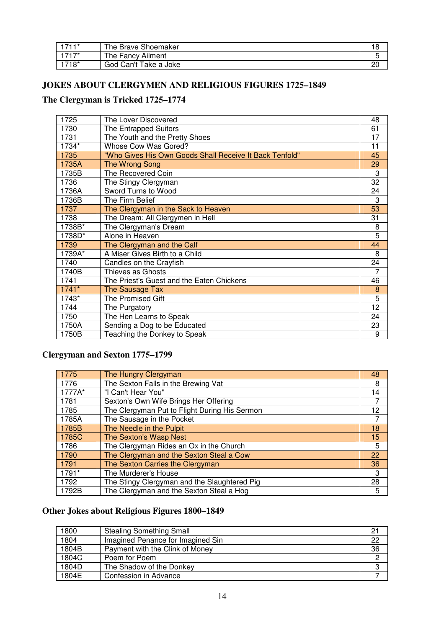| $1711*$ | The Brave Shoemaker   |  |
|---------|-----------------------|--|
| $1717*$ | The Fancy Ailment     |  |
| 1718*   | God Can't Take a Joke |  |

#### **JOKES ABOUT CLERGYMEN AND RELIGIOUS FIGURES 1725–1849**

## **The Clergyman is Tricked 1725–1774**

| 1725    | The Lover Discovered                                    | 48             |
|---------|---------------------------------------------------------|----------------|
| 1730    | The Entrapped Suitors                                   | 61             |
| 1731    | The Youth and the Pretty Shoes                          | 17             |
| 1734*   | Whose Cow Was Gored?                                    | 11             |
| 1735    | "Who Gives His Own Goods Shall Receive It Back Tenfold" | 45             |
| 1735A   | The Wrong Song                                          | 29             |
| 1735B   | The Recovered Coin                                      | 3              |
| 1736    | The Stingy Clergyman                                    | 32             |
| 1736A   | Sword Turns to Wood                                     | 24             |
| 1736B   | The Firm Belief                                         | 3              |
| 1737    | The Clergyman in the Sack to Heaven                     | 53             |
| 1738    | The Dream: All Clergymen in Hell                        | 31             |
| 1738B*  | The Clergyman's Dream                                   | 8              |
| 1738D*  | Alone in Heaven                                         | $\overline{5}$ |
| 1739    | The Clergyman and the Calf                              | 44             |
| 1739A*  | A Miser Gives Birth to a Child                          | 8              |
| 1740    | Candles on the Crayfish                                 | 24             |
| 1740B   | Thieves as Ghosts                                       | 7              |
| 1741    | The Priest's Guest and the Eaten Chickens               | 46             |
| $1741*$ | The Sausage Tax                                         | 8              |
| 1743*   | The Promised Gift                                       | 5              |
| 1744    | The Purgatory                                           | 12             |
| 1750    | The Hen Learns to Speak                                 | 24             |
| 1750A   | Sending a Dog to be Educated                            | 23             |
| 1750B   | Teaching the Donkey to Speak                            | 9              |

#### **Clergyman and Sexton 1775–1799**

| 1775   | The Hungry Clergyman                          | 48 |
|--------|-----------------------------------------------|----|
| 1776   | The Sexton Falls in the Brewing Vat           | 8  |
| 1777A* | "I Can't Hear You"                            | 14 |
| 1781   | Sexton's Own Wife Brings Her Offering         |    |
| 1785   | The Clergyman Put to Flight During His Sermon | 12 |
| 1785A  | The Sausage in the Pocket                     |    |
| 1785B  | The Needle in the Pulpit                      | 18 |
| 1785C  | The Sexton's Wasp Nest                        | 15 |
| 1786   | The Clergyman Rides an Ox in the Church       | 5  |
| 1790   | The Clergyman and the Sexton Steal a Cow      | 22 |
| 1791   | The Sexton Carries the Clergyman              | 36 |
| 1791*  | The Murderer's House                          | 3  |
| 1792   | The Stingy Clergyman and the Slaughtered Pig  | 28 |
| 1792B  | The Clergyman and the Sexton Steal a Hog      | 5  |

### **Other Jokes about Religious Figures 1800–1849**

| 1800  | <b>Stealing Something Small</b>   | 21 |
|-------|-----------------------------------|----|
| 1804  | Imagined Penance for Imagined Sin | 22 |
| 1804B | Payment with the Clink of Money   | 36 |
| 1804C | Poem for Poem                     | റ  |
| 1804D | The Shadow of the Donkey          |    |
| 1804E | Confession in Advance             |    |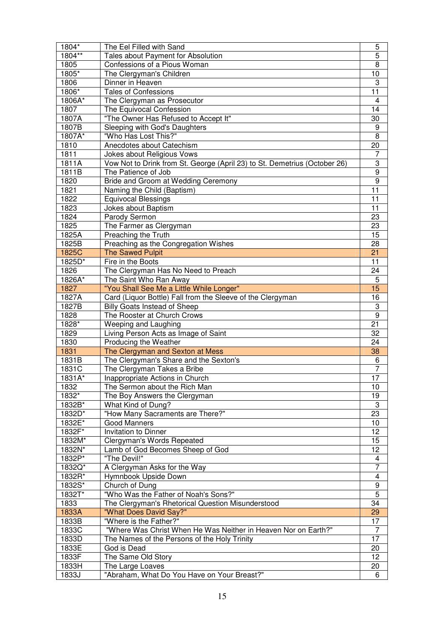| 1804*    | The Eel Filled with Sand                                                  | 5                       |
|----------|---------------------------------------------------------------------------|-------------------------|
| 1804**   | Tales about Payment for Absolution                                        | 5                       |
| 1805     | Confessions of a Pious Woman                                              | 8                       |
| 1805*    | The Clergyman's Children                                                  | 10                      |
| 1806     | Dinner in Heaven                                                          | 3                       |
| 1806*    | <b>Tales of Confessions</b>                                               | 11                      |
| 1806A*   | The Clergyman as Prosecutor                                               | 4                       |
| 1807     | The Equivocal Confession                                                  | 14                      |
| 1807A    | "The Owner Has Refused to Accept It"                                      | 30                      |
| 1807B    | Sleeping with God's Daughters                                             | 9                       |
| 1807A*   | "Who Has Lost This?"                                                      | 8                       |
| 1810     | Anecdotes about Catechism                                                 | 20                      |
| 1811     | Jokes about Religious Vows                                                | 7                       |
| 1811A    | Vow Not to Drink from St. George (April 23) to St. Demetrius (October 26) | 3                       |
| 1811B    | The Patience of Job                                                       | $\overline{9}$          |
| 1820     | Bride and Groom at Wedding Ceremony                                       | 9                       |
| 1821     | Naming the Child (Baptism)                                                | 11                      |
| 1822     | <b>Equivocal Blessings</b>                                                | 11                      |
| 1823     | Jokes about Baptism                                                       | 11                      |
| 1824     | Parody Sermon                                                             | 23                      |
| 1825     | The Farmer as Clergyman                                                   | 23                      |
| 1825A    | Preaching the Truth                                                       | 15                      |
| 1825B    | Preaching as the Congregation Wishes                                      | 28                      |
| 1825C    | <b>The Sawed Pulpit</b>                                                   | 21                      |
|          |                                                                           | 11                      |
| 1825D*   | Fire in the Boots                                                         |                         |
| 1826     | The Clergyman Has No Need to Preach                                       | 24                      |
| 1826A*   | The Saint Who Ran Away                                                    | 5                       |
| 1827     | "You Shall See Me a Little While Longer"                                  | 15                      |
| 1827A    | Card (Liquor Bottle) Fall from the Sleeve of the Clergyman                | 16                      |
| 1827B    | <b>Billy Goats Instead of Sheep</b>                                       | 3                       |
| 1828     | The Rooster at Church Crows                                               | $\boldsymbol{9}$        |
| 1828*    | Weeping and Laughing                                                      | 21                      |
| 1829     | Living Person Acts as Image of Saint                                      | 32                      |
| 1830     | Producing the Weather                                                     | 24                      |
| 1831     | The Clergyman and Sexton at Mess                                          | 38                      |
| 1831B    | The Clergyman's Share and the Sexton's                                    | 6                       |
| 1831C    | The Clergyman Takes a Bribe                                               | 7                       |
| $1831A*$ | Inappropriate Actions in Church                                           | $\overline{17}$         |
| 1832     | The Sermon about the Rich Man                                             | 10                      |
| 1832*    | The Boy Answers the Clergyman                                             | 19                      |
| 1832B*   | What Kind of Dung?                                                        | $\sqrt{3}$              |
| 1832D*   | "How Many Sacraments are There?"                                          | 23                      |
| 1832E*   | <b>Good Manners</b>                                                       | 10                      |
| 1832F*   | <b>Invitation to Dinner</b>                                               | 12                      |
| 1832M*   | Clergyman's Words Repeated                                                | 15                      |
| 1832N*   | Lamb of God Becomes Sheep of God                                          | 12                      |
| 1832P*   | "The Devil!"                                                              | 4                       |
| 1832Q*   | A Clergyman Asks for the Way                                              | 7                       |
| 1832R*   | Hymnbook Upside Down                                                      | $\overline{\mathbf{4}}$ |
| 1832S*   | Church of Dung                                                            | $\boldsymbol{9}$        |
| 1832T*   | "Who Was the Father of Noah's Sons?"                                      | $\overline{5}$          |
| 1833     | The Clergyman's Rhetorical Question Misunderstood                         | 34                      |
| 1833A    | "What Does David Say?"                                                    | 29                      |
| 1833B    | "Where is the Father?"                                                    | 17                      |
| 1833C    | "Where Was Christ When He Was Neither in Heaven Nor on Earth?"            | 7                       |
| 1833D    | The Names of the Persons of the Holy Trinity                              | 17                      |
| 1833E    | God is Dead                                                               | 20                      |
| 1833F    | The Same Old Story                                                        | 12                      |
| 1833H    | The Large Loaves                                                          | 20                      |
| 1833J    | "Abraham, What Do You Have on Your Breast?"                               | 6                       |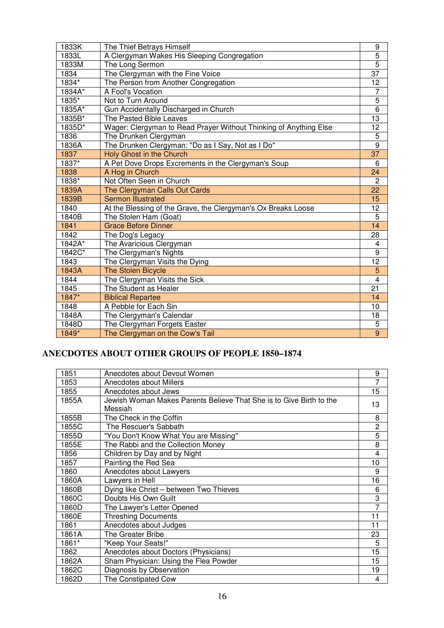| 1833K                | The Thief Betrays Himself                                         | 9                       |
|----------------------|-------------------------------------------------------------------|-------------------------|
| 1833L                | A Clergyman Wakes His Sleeping Congregation                       | 5                       |
| 1833M                | The Long Sermon                                                   | $\overline{5}$          |
| 1834                 | The Clergyman with the Fine Voice                                 | 37                      |
| 1834*                | The Person from Another Congregation                              | 12                      |
| 1834A*               | A Fool's Vocation                                                 | $\overline{7}$          |
| 1835*                | Not to Turn Around                                                | 5                       |
| 1835A*               | Gun Accidentally Discharged in Church                             | 6                       |
| 1835B*               | The Pasted Bible Leaves                                           | 13                      |
| 1835D*               | Wager: Clergyman to Read Prayer Without Thinking of Anything Else | 12                      |
| 1836                 | The Drunken Clergyman                                             | $\overline{5}$          |
| 1836A                | The Drunken Clergyman: "Do as I Say, Not as I Do"                 | $\overline{9}$          |
| 1837                 | <b>Holy Ghost in the Church</b>                                   | $\overline{37}$         |
| 1837*                | A Pet Dove Drops Excrements in the Clergyman's Soup               | 6                       |
| 1838                 | A Hog in Church                                                   | 24                      |
| 1838*                | Not Often Seen in Church                                          | $\overline{2}$          |
| 1839A                | The Clergyman Calls Out Cards                                     | 22                      |
| 1839B                | <b>Sermon Illustrated</b>                                         | 15                      |
| 1840                 | At the Blessing of the Grave, the Clergyman's Ox Breaks Loose     | 12                      |
| 1840B                | The Stolen Ham (Goat)                                             | $\overline{5}$          |
| 1841                 | <b>Grace Before Dinner</b>                                        | 14                      |
| 1842                 | The Dog's Legacy                                                  | 28                      |
| $184\overline{2A^*}$ | The Avaricious Clergyman                                          | 4                       |
| 1842C*               | The Clergyman's Nights                                            | $\overline{9}$          |
| 1843                 | The Clergyman Visits the Dying                                    | 12                      |
| 1843A                | <b>The Stolen Bicycle</b>                                         | 5                       |
| 1844                 | The Clergyman Visits the Sick                                     | $\overline{\mathbf{4}}$ |
| 1845                 | The Student as Healer                                             | $\overline{21}$         |
| 1847*                | <b>Biblical Repartee</b>                                          | 14                      |
| 1848                 | A Pebble for Each Sin                                             | 10                      |
| 1848A                | The Clergyman's Calendar                                          | 18                      |
| 1848D                | The Clergyman Forgets Easter                                      | 5                       |
| 1849*                | The Clergyman on the Cow's Tail                                   | 9                       |

## **ANECDOTES ABOUT OTHER GROUPS OF PEOPLE 1850–1874**

| 1851  | Anecdotes about Devout Women                                        | 9              |
|-------|---------------------------------------------------------------------|----------------|
| 1853  | Anecdotes about Millers                                             | $\overline{7}$ |
| 1855  | Anecdotes about Jews                                                | 15             |
| 1855A | Jewish Woman Makes Parents Believe That She is to Give Birth to the | 13             |
|       | Messiah                                                             |                |
| 1855B | The Check in the Coffin                                             | 8              |
| 1855C | The Rescuer's Sabbath                                               | $\overline{2}$ |
| 1855D | "You Don't Know What You are Missing"                               | 5              |
| 1855E | The Rabbi and the Collection Money                                  | 8              |
| 1856  | Children by Day and by Night                                        | 4              |
| 1857  | Painting the Red Sea                                                | 10             |
| 1860  | Anecdotes about Lawyers                                             | 9              |
| 1860A | Lawyers in Hell                                                     | 16             |
| 1860B | Dying like Christ - between Two Thieves                             | 6              |
| 1860C | Doubts His Own Guilt                                                | 3              |
| 1860D | The Lawyer's Letter Opened                                          | 7              |
| 1860E | <b>Threshing Documents</b>                                          | 11             |
| 1861  | Anecdotes about Judges                                              | 11             |
| 1861A | The Greater Bribe                                                   | 23             |
| 1861* | "Keep Your Seats!"                                                  | 5              |
| 1862  | Anecdotes about Doctors (Physicians)                                | 15             |
| 1862A | Sham Physician: Using the Flea Powder                               | 15             |
| 1862C | Diagnosis by Observation                                            | 19             |
| 1862D | The Constipated Cow                                                 | 4              |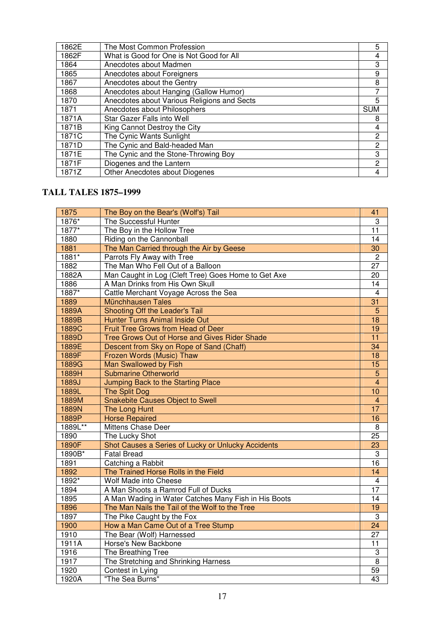| 1862E | The Most Common Profession                  | 5          |
|-------|---------------------------------------------|------------|
| 1862F | What is Good for One is Not Good for All    | 4          |
| 1864  | Anecdotes about Madmen                      | 3          |
| 1865  | Anecdotes about Foreigners                  | 9          |
| 1867  | Anecdotes about the Gentry                  | 8          |
| 1868  | Anecdotes about Hanging (Gallow Humor)      |            |
| 1870  | Anecdotes about Various Religions and Sects | 5          |
| 1871  | Anecdotes about Philosophers                | <b>SUM</b> |
| 1871A | <b>Star Gazer Falls into Well</b>           | 8          |
| 1871B | King Cannot Destroy the City                | 4          |
| 1871C | The Cynic Wants Sunlight                    | 2          |
| 1871D | The Cynic and Bald-headed Man               | 2          |
| 1871E | The Cynic and the Stone-Throwing Boy        | 3          |
| 1871F | Diogenes and the Lantern                    | 2          |
| 1871Z | Other Anecdotes about Diogenes              | 4          |

### **TALL TALES 1875–1999**

| 1875    | The Boy on the Bear's (Wolf's) Tail                  | 41                      |
|---------|------------------------------------------------------|-------------------------|
| 1876*   | The Successful Hunter                                | 3                       |
| 1877*   | The Boy in the Hollow Tree                           | 11                      |
| 1880    | Riding on the Cannonball                             | 14                      |
| 1881    | The Man Carried through the Air by Geese             | $\overline{30}$         |
| 1881*   | Parrots Fly Away with Tree                           | $\overline{2}$          |
| 1882    | The Man Who Fell Out of a Balloon                    | 27                      |
| 1882A   | Man Caught in Log (Cleft Tree) Goes Home to Get Axe  | 20                      |
| 1886    | A Man Drinks from His Own Skull                      | 14                      |
| 1887*   | Cattle Merchant Voyage Across the Sea                | $\overline{4}$          |
| 1889    | Münchhausen Tales                                    | 31                      |
| 1889A   | Shooting Off the Leader's Tail                       | $\overline{5}$          |
| 1889B   | <b>Hunter Turns Animal Inside Out</b>                | 18                      |
| 1889C   | Fruit Tree Grows from Head of Deer                   | 19                      |
| 1889D   | Tree Grows Out of Horse and Gives Rider Shade        | $\overline{11}$         |
| 1889E   | Descent from Sky on Rope of Sand (Chaff)             | $\overline{34}$         |
| 1889F   | Frozen Words (Music) Thaw                            | 18                      |
| 1889G   | <b>Man Swallowed by Fish</b>                         | 15                      |
| 1889H   | <b>Submarine Otherworld</b>                          | $\overline{5}$          |
| 1889J   | Jumping Back to the Starting Place                   | $\overline{4}$          |
| 1889L   | <b>The Split Dog</b>                                 | 10                      |
| 1889M   | <b>Snakebite Causes Object to Swell</b>              | 4                       |
| 1889N   | The Long Hunt                                        | 17                      |
| 1889P   | <b>Horse Repaired</b>                                | 16                      |
| 1889L** | Mittens Chase Deer                                   | 8                       |
| 1890    | The Lucky Shot                                       | 25                      |
| 1890F   | Shot Causes a Series of Lucky or Unlucky Accidents   | 23                      |
| 1890B*  | <b>Fatal Bread</b>                                   | 3                       |
| 1891    | Catching a Rabbit                                    | $\overline{16}$         |
| 1892    | The Trained Horse Rolls in the Field                 | $\overline{14}$         |
| 1892*   | Wolf Made into Cheese                                | $\overline{\mathbf{4}}$ |
| 1894    | A Man Shoots a Ramrod Full of Ducks                  | $\overline{17}$         |
| 1895    | A Man Wading in Water Catches Many Fish in His Boots | $\overline{14}$         |
| 1896    | The Man Nails the Tail of the Wolf to the Tree       | 19                      |
| 1897    | The Pike Caught by the Fox                           | 3                       |
| 1900    | How a Man Came Out of a Tree Stump                   | 24                      |
| 1910    | The Bear (Wolf) Harnessed                            | 27                      |
| 1911A   | Horse's New Backbone                                 | 11                      |
| 1916    | The Breathing Tree                                   | 3                       |
| 1917    | The Stretching and Shrinking Harness                 | 8                       |
| 1920    | Contest in Lying                                     | 59                      |
| 1920A   | "The Sea Burns"                                      | $\overline{43}$         |